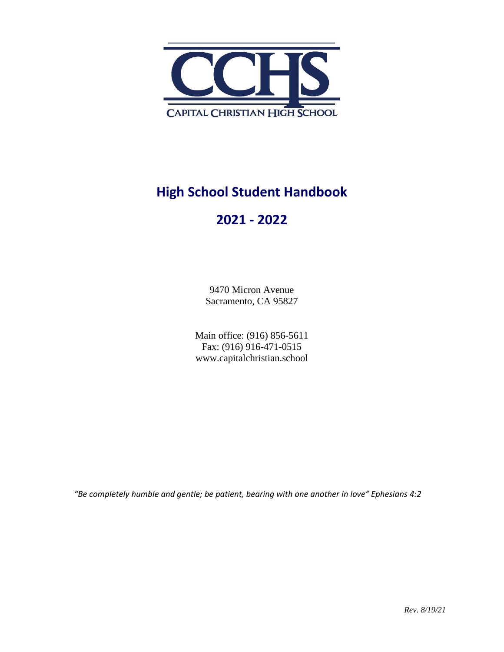

# **High School Student Handbook**

# **2021 - 2022**

9470 Micron Avenue Sacramento, CA 95827

Main office: (916) 856-5611 Fax: (916) 916-471-0515 www.capitalchristian.school

*"Be completely humble and gentle; be patient, bearing with one another in love" Ephesians 4:2*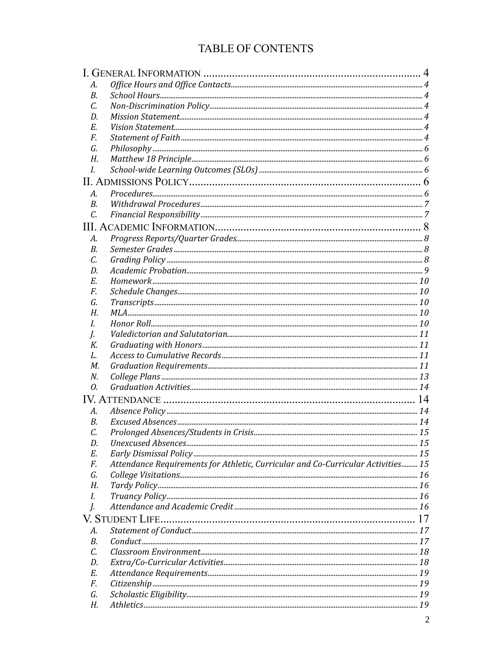# TABLE OF CONTENTS

| А. |                                                                                  |  |  |
|----|----------------------------------------------------------------------------------|--|--|
| В. |                                                                                  |  |  |
| C. |                                                                                  |  |  |
| D. |                                                                                  |  |  |
| Е. |                                                                                  |  |  |
| F. |                                                                                  |  |  |
| G. |                                                                                  |  |  |
| Н. |                                                                                  |  |  |
| I. |                                                                                  |  |  |
|    |                                                                                  |  |  |
| А. |                                                                                  |  |  |
| В. |                                                                                  |  |  |
| C. |                                                                                  |  |  |
|    |                                                                                  |  |  |
| А. |                                                                                  |  |  |
| В. |                                                                                  |  |  |
| C. |                                                                                  |  |  |
| D. |                                                                                  |  |  |
| Е. |                                                                                  |  |  |
| F. |                                                                                  |  |  |
| G. |                                                                                  |  |  |
| Н. |                                                                                  |  |  |
| L  |                                                                                  |  |  |
| I. |                                                                                  |  |  |
| К. |                                                                                  |  |  |
| L. |                                                                                  |  |  |
| М. |                                                                                  |  |  |
| N. |                                                                                  |  |  |
| 0. |                                                                                  |  |  |
|    |                                                                                  |  |  |
| А. |                                                                                  |  |  |
| В. |                                                                                  |  |  |
| C. |                                                                                  |  |  |
| D. |                                                                                  |  |  |
| Е. |                                                                                  |  |  |
| F. | Attendance Requirements for Athletic, Curricular and Co-Curricular Activities 15 |  |  |
| G. |                                                                                  |  |  |
| Н. |                                                                                  |  |  |
| L. |                                                                                  |  |  |
| J. |                                                                                  |  |  |
|    |                                                                                  |  |  |
| А. |                                                                                  |  |  |
| В. |                                                                                  |  |  |
| C. |                                                                                  |  |  |
| D. |                                                                                  |  |  |
| Е. |                                                                                  |  |  |
| F. |                                                                                  |  |  |
| G. |                                                                                  |  |  |
| Н. |                                                                                  |  |  |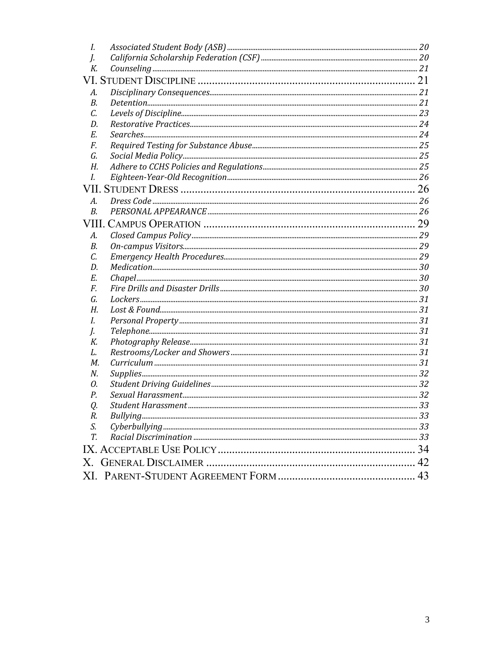| I. |    |
|----|----|
| I. |    |
| К. |    |
|    |    |
| А. |    |
| В. |    |
| C. |    |
| D. |    |
| Е. |    |
| F. |    |
| G. |    |
| Н. |    |
| I. |    |
|    |    |
| A. |    |
| B. |    |
|    |    |
| А. |    |
| В. |    |
| С. |    |
| D. |    |
| Е. |    |
| F. |    |
| G. |    |
| Н. |    |
| L. |    |
| J. |    |
| К. |    |
| L. |    |
| М. |    |
| N. |    |
| 0. |    |
| Р. |    |
| Q. |    |
| R. |    |
| S. |    |
| T. |    |
|    |    |
|    | 42 |
|    |    |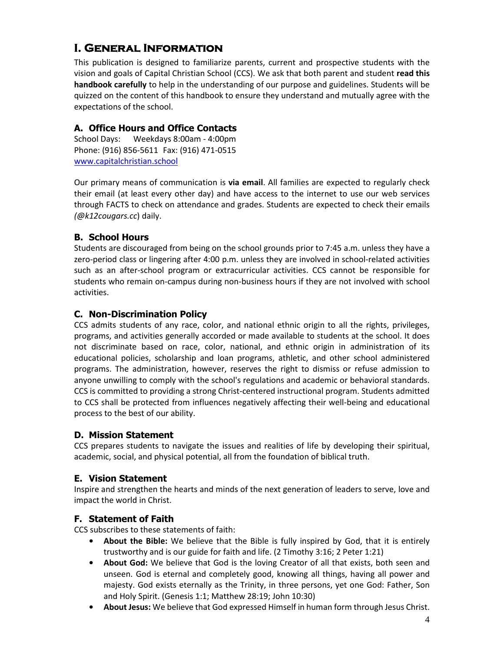# **I. General Information**

This publication is designed to familiarize parents, current and prospective students with the vision and goals of Capital Christian School (CCS). We ask that both parent and student **read this handbook carefully** to help in the understanding of our purpose and guidelines. Students will be quizzed on the content of this handbook to ensure they understand and mutually agree with the expectations of the school.

## **A. Office Hours and Office Contacts**

School Days: Weekdays 8:00am - 4:00pm Phone: (916) 856-5611 Fax: (916) 471-0515 [www.capitalchristian.school](http://www.capitalchristian.school/)

Our primary means of communication is **via email**. All families are expected to regularly check their email (at least every other day) and have access to the internet to use our web services through FACTS to check on attendance and grades. Students are expected to check their emails *(@k12cougars.cc*) daily.

## **B. School Hours**

Students are discouraged from being on the school grounds prior to 7:45 a.m. unless they have a zero-period class or lingering after 4:00 p.m. unless they are involved in school-related activities such as an after-school program or extracurricular activities. CCS cannot be responsible for students who remain on-campus during non-business hours if they are not involved with school activities.

## **C. Non-Discrimination Policy**

CCS admits students of any race, color, and national ethnic origin to all the rights, privileges, programs, and activities generally accorded or made available to students at the school. It does not discriminate based on race, color, national, and ethnic origin in administration of its educational policies, scholarship and loan programs, athletic, and other school administered programs. The administration, however, reserves the right to dismiss or refuse admission to anyone unwilling to comply with the school's regulations and academic or behavioral standards. CCS is committed to providing a strong Christ-centered instructional program. Students admitted to CCS shall be protected from influences negatively affecting their well-being and educational process to the best of our ability.

### **D. Mission Statement**

CCS prepares students to navigate the issues and realities of life by developing their spiritual, academic, social, and physical potential, all from the foundation of biblical truth.

### **E. Vision Statement**

Inspire and strengthen the hearts and minds of the next generation of leaders to serve, love and impact the world in Christ.

### **F. Statement of Faith**

CCS subscribes to these statements of faith:

- **• About the Bible:** We believe that the Bible is fully inspired by God, that it is entirely trustworthy and is our guide for faith and life. (2 Timothy 3:16; 2 Peter 1:21)
- **• About God:** We believe that God is the loving Creator of all that exists, both seen and unseen. God is eternal and completely good, knowing all things, having all power and majesty. God exists eternally as the Trinity, in three persons, yet one God: Father, Son and Holy Spirit. (Genesis 1:1; Matthew 28:19; John 10:30)
- **• About Jesus:** We believe that God expressed Himself in human form through Jesus Christ.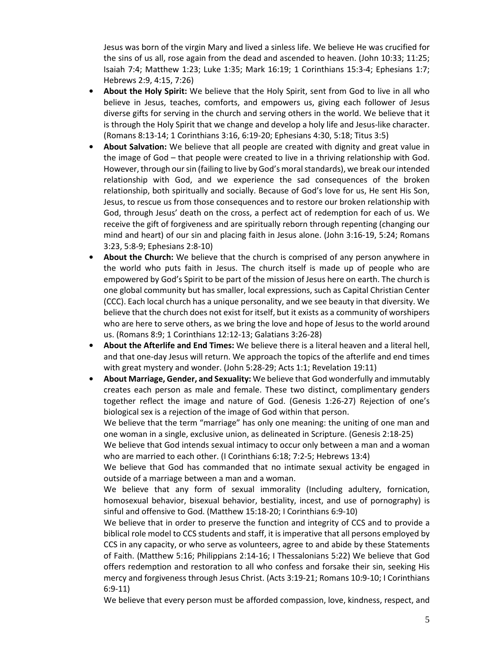Jesus was born of the virgin Mary and lived a sinless life. We believe He was crucified for the sins of us all, rose again from the dead and ascended to heaven. (John 10:33; 11:25; Isaiah 7:4; Matthew 1:23; Luke 1:35; Mark 16:19; 1 Corinthians 15:3-4; Ephesians 1:7; Hebrews 2:9, 4:15, 7:26)

- **• About the Holy Spirit:** We believe that the Holy Spirit, sent from God to live in all who believe in Jesus, teaches, comforts, and empowers us, giving each follower of Jesus diverse gifts for serving in the church and serving others in the world. We believe that it is through the Holy Spirit that we change and develop a holy life and Jesus-like character. (Romans 8:13-14; 1 Corinthians 3:16, 6:19-20; Ephesians 4:30, 5:18; Titus 3:5)
- **• About Salvation:** We believe that all people are created with dignity and great value in the image of God – that people were created to live in a thriving relationship with God. However, through our sin (failing to live by God's moral standards), we break our intended relationship with God, and we experience the sad consequences of the broken relationship, both spiritually and socially. Because of God's love for us, He sent His Son, Jesus, to rescue us from those consequences and to restore our broken relationship with God, through Jesus' death on the cross, a perfect act of redemption for each of us. We receive the gift of forgiveness and are spiritually reborn through repenting (changing our mind and heart) of our sin and placing faith in Jesus alone. (John 3:16-19, 5:24; Romans 3:23, 5:8-9; Ephesians 2:8-10)
- **• About the Church:** We believe that the church is comprised of any person anywhere in the world who puts faith in Jesus. The church itself is made up of people who are empowered by God's Spirit to be part of the mission of Jesus here on earth. The church is one global community but has smaller, local expressions, such as Capital Christian Center (CCC). Each local church has a unique personality, and we see beauty in that diversity. We believe that the church does not exist for itself, but it exists as a community of worshipers who are here to serve others, as we bring the love and hope of Jesus to the world around us. (Romans 8:9; 1 Corinthians 12:12-13; Galatians 3:26-28)
- **• About the Afterlife and End Times:** We believe there is a literal heaven and a literal hell, and that one-day Jesus will return. We approach the topics of the afterlife and end times with great mystery and wonder. (John 5:28-29; Acts 1:1; Revelation 19:11)
- **• About Marriage, Gender, and Sexuality:** We believe that God wonderfully and immutably creates each person as male and female. These two distinct, complimentary genders together reflect the image and nature of God. (Genesis 1:26-27) Rejection of one's biological sex is a rejection of the image of God within that person.

We believe that the term "marriage" has only one meaning: the uniting of one man and one woman in a single, exclusive union, as delineated in Scripture. (Genesis 2:18-25)

We believe that God intends sexual intimacy to occur only between a man and a woman who are married to each other. (I Corinthians 6:18; 7:2-5; Hebrews 13:4)

We believe that God has commanded that no intimate sexual activity be engaged in outside of a marriage between a man and a woman.

We believe that any form of sexual immorality (Including adultery, fornication, homosexual behavior, bisexual behavior, bestiality, incest, and use of pornography) is sinful and offensive to God. (Matthew 15:18-20; I Corinthians 6:9-10)

We believe that in order to preserve the function and integrity of CCS and to provide a biblical role model to CCS students and staff, it is imperative that all persons employed by CCS in any capacity, or who serve as volunteers, agree to and abide by these Statements of Faith. (Matthew 5:16; Philippians 2:14-16; I Thessalonians 5:22) We believe that God offers redemption and restoration to all who confess and forsake their sin, seeking His mercy and forgiveness through Jesus Christ. (Acts 3:19-21; Romans 10:9-10; I Corinthians 6:9-11)

We believe that every person must be afforded compassion, love, kindness, respect, and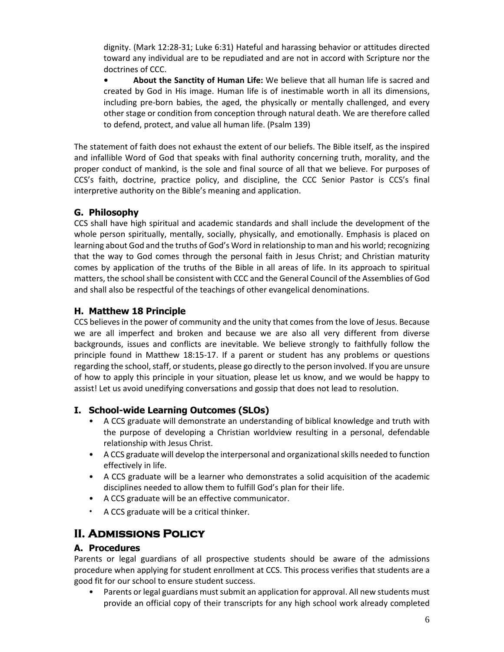dignity. (Mark 12:28-31; Luke 6:31) Hateful and harassing behavior or attitudes directed toward any individual are to be repudiated and are not in accord with Scripture nor the doctrines of CCC.

**• About the Sanctity of Human Life:** We believe that all human life is sacred and created by God in His image. Human life is of inestimable worth in all its dimensions, including pre-born babies, the aged, the physically or mentally challenged, and every other stage or condition from conception through natural death. We are therefore called to defend, protect, and value all human life. (Psalm 139)

The statement of faith does not exhaust the extent of our beliefs. The Bible itself, as the inspired and infallible Word of God that speaks with final authority concerning truth, morality, and the proper conduct of mankind, is the sole and final source of all that we believe. For purposes of CCS's faith, doctrine, practice policy, and discipline, the CCC Senior Pastor is CCS's final interpretive authority on the Bible's meaning and application.

## **G. Philosophy**

CCS shall have high spiritual and academic standards and shall include the development of the whole person spiritually, mentally, socially, physically, and emotionally. Emphasis is placed on learning about God and the truths of God's Word in relationship to man and his world; recognizing that the way to God comes through the personal faith in Jesus Christ; and Christian maturity comes by application of the truths of the Bible in all areas of life. In its approach to spiritual matters, the schoolshall be consistent with CCC and the General Council of the Assemblies of God and shall also be respectful of the teachings of other evangelical denominations.

## **H. Matthew 18 Principle**

CCS believes in the power of community and the unity that comes from the love of Jesus. Because we are all imperfect and broken and because we are also all very different from diverse backgrounds, issues and conflicts are inevitable. We believe strongly to faithfully follow the principle found in Matthew 18:15-17. If a parent or student has any problems or questions regarding the school, staff, or students, please go directly to the person involved. If you are unsure of how to apply this principle in your situation, please let us know, and we would be happy to assist! Let us avoid unedifying conversations and gossip that does not lead to resolution.

## **I. School-wide Learning Outcomes (SLOs)**

- A CCS graduate will demonstrate an understanding of biblical knowledge and truth with the purpose of developing a Christian worldview resulting in a personal, defendable relationship with Jesus Christ.
- A CCS graduate will develop the interpersonal and organizational skills needed to function effectively in life.
- A CCS graduate will be a learner who demonstrates a solid acquisition of the academic disciplines needed to allow them to fulfill God's plan for their life.
- A CCS graduate will be an effective communicator.
- A CCS graduate will be a critical thinker.

# **II. Admissions Policy**

## **A. Procedures**

Parents or legal guardians of all prospective students should be aware of the admissions procedure when applying for student enrollment at CCS. This process verifies that students are a good fit for our school to ensure student success.

• Parents or legal guardians must submit an application for approval. All new students must provide an official copy of their transcripts for any high school work already completed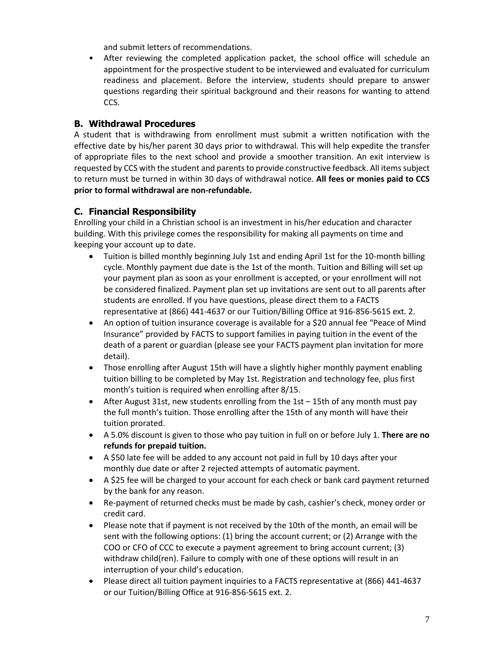and submit letters of recommendations.

• After reviewing the completed application packet, the school office will schedule an appointment for the prospective student to be interviewed and evaluated for curriculum readiness and placement. Before the interview, students should prepare to answer questions regarding their spiritual background and their reasons for wanting to attend CCS.

## **B. Withdrawal Procedures**

A student that is withdrawing from enrollment must submit a written notification with the effective date by his/her parent 30 days prior to withdrawal. This will help expedite the transfer of appropriate files to the next school and provide a smoother transition. An exit interview is requested by CCS with the student and parents to provide constructive feedback. All items subject to return must be turned in within 30 days of withdrawal notice. **All fees or monies paid to CCS prior to formal withdrawal are non-refundable.**

## **C. Financial Responsibility**

Enrolling your child in a Christian school is an investment in his/her education and character building. With this privilege comes the responsibility for making all payments on time and keeping your account up to date.

- Tuition is billed monthly beginning July 1st and ending April 1st for the 10-month billing cycle. Monthly payment due date is the 1st of the month. Tuition and Billing will set up your payment plan as soon as your enrollment is accepted, or your enrollment will not be considered finalized. Payment plan set up invitations are sent out to all parents after students are enrolled. If you have questions, please direct them to a FACTS representative at (866) 441-4637 or our Tuition/Billing Office at 916-856-5615 ext. 2.
- An option of tuition insurance coverage is available for a \$20 annual fee "Peace of Mind Insurance" provided by FACTS to support families in paying tuition in the event of the death of a parent or guardian (please see your FACTS payment plan invitation for more detail).
- Those enrolling after August 15th will have a slightly higher monthly payment enabling tuition billing to be completed by May 1st. Registration and technology fee, plus first month's tuition is required when enrolling after 8/15.
- After August 31st, new students enrolling from the 1st  $-$  15th of any month must pay the full month's tuition. Those enrolling after the 15th of any month will have their tuition prorated.
- A 5.0% discount is given to those who pay tuition in full on or before July 1. **There are no refunds for prepaid tuition.**
- A \$50 late fee will be added to any account not paid in full by 10 days after your monthly due date or after 2 rejected attempts of automatic payment.
- A \$25 fee will be charged to your account for each check or bank card payment returned by the bank for any reason.
- Re-payment of returned checks must be made by cash, cashier's check, money order or credit card.
- Please note that if payment is not received by the 10th of the month, an email will be sent with the following options: (1) bring the account current; or (2) Arrange with the COO or CFO of CCC to execute a payment agreement to bring account current; (3) withdraw child(ren). Failure to comply with one of these options will result in an interruption of your child's education.
- Please direct all tuition payment inquiries to a FACTS representative at (866) 441-4637 or our Tuition/Billing Office at 916-856-5615 ext. 2.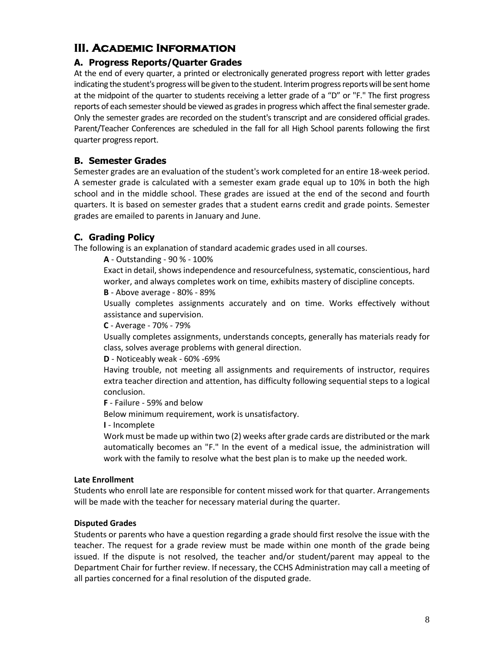# **III. Academic Information**

## **A. Progress Reports/Quarter Grades**

At the end of every quarter, a printed or electronically generated progress report with letter grades indicating the student's progress will be given to the student. Interim progress reports will be sent home at the midpoint of the quarter to students receiving a letter grade of a "D" or "F." The first progress reports of each semester should be viewed as grades in progress which affect the final semester grade. Only the semester grades are recorded on the student's transcript and are considered official grades. Parent/Teacher Conferences are scheduled in the fall for all High School parents following the first quarter progress report.

## **B. Semester Grades**

Semester grades are an evaluation of the student's work completed for an entire 18-week period. A semester grade is calculated with a semester exam grade equal up to 10% in both the high school and in the middle school. These grades are issued at the end of the second and fourth quarters. It is based on semester grades that a student earns credit and grade points. Semester grades are emailed to parents in January and June.

## **C. Grading Policy**

The following is an explanation of standard academic grades used in all courses.

**A** - Outstanding - 90 % - 100%

Exact in detail, shows independence and resourcefulness, systematic, conscientious, hard worker, and always completes work on time, exhibits mastery of discipline concepts.

**B** - Above average - 80% - 89%

Usually completes assignments accurately and on time. Works effectively without assistance and supervision.

**C** - Average - 70% - 79%

Usually completes assignments, understands concepts, generally has materials ready for class, solves average problems with general direction.

**D** - Noticeably weak - 60% -69%

Having trouble, not meeting all assignments and requirements of instructor, requires extra teacher direction and attention, has difficulty following sequential steps to a logical conclusion.

**F** - Failure - 59% and below

Below minimum requirement, work is unsatisfactory.

**I** - Incomplete

Work must be made up within two (2) weeks after grade cards are distributed or the mark automatically becomes an "F." In the event of a medical issue, the administration will work with the family to resolve what the best plan is to make up the needed work.

### **Late Enrollment**

Students who enroll late are responsible for content missed work for that quarter. Arrangements will be made with the teacher for necessary material during the quarter.

### **Disputed Grades**

Students or parents who have a question regarding a grade should first resolve the issue with the teacher. The request for a grade review must be made within one month of the grade being issued. If the dispute is not resolved, the teacher and/or student/parent may appeal to the Department Chair for further review. If necessary, the CCHS Administration may call a meeting of all parties concerned for a final resolution of the disputed grade.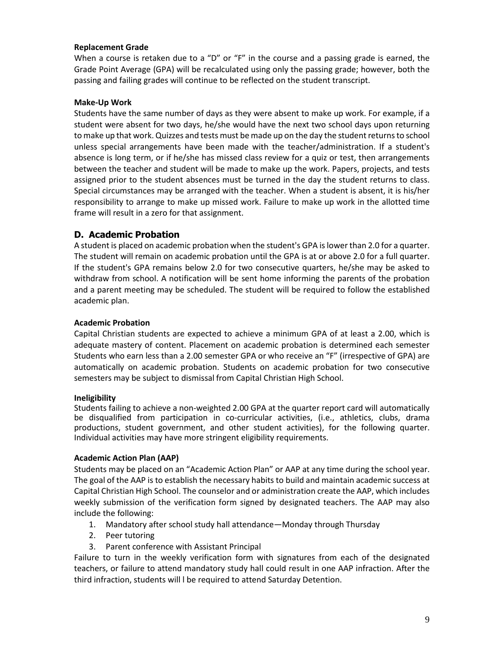#### **Replacement Grade**

When a course is retaken due to a "D" or "F" in the course and a passing grade is earned, the Grade Point Average (GPA) will be recalculated using only the passing grade; however, both the passing and failing grades will continue to be reflected on the student transcript.

#### **Make-Up Work**

Students have the same number of days as they were absent to make up work. For example, if a student were absent for two days, he/she would have the next two school days upon returning to make up that work. Quizzes and tests must be made up on the day the student returnsto school unless special arrangements have been made with the teacher/administration. If a student's absence is long term, or if he/she has missed class review for a quiz or test, then arrangements between the teacher and student will be made to make up the work. Papers, projects, and tests assigned prior to the student absences must be turned in the day the student returns to class. Special circumstances may be arranged with the teacher. When a student is absent, it is his/her responsibility to arrange to make up missed work. Failure to make up work in the allotted time frame will result in a zero for that assignment.

#### **D. Academic Probation**

A student is placed on academic probation when the student's GPA islower than 2.0 for a quarter. The student will remain on academic probation until the GPA is at or above 2.0 for a full quarter. If the student's GPA remains below 2.0 for two consecutive quarters, he/she may be asked to withdraw from school. A notification will be sent home informing the parents of the probation and a parent meeting may be scheduled. The student will be required to follow the established academic plan.

#### **Academic Probation**

Capital Christian students are expected to achieve a minimum GPA of at least a 2.00, which is adequate mastery of content. Placement on academic probation is determined each semester Students who earn less than a 2.00 semester GPA or who receive an "F" (irrespective of GPA) are automatically on academic probation. Students on academic probation for two consecutive semesters may be subject to dismissal from Capital Christian High School.

#### **Ineligibility**

Students failing to achieve a non-weighted 2.00 GPA at the quarter report card will automatically be disqualified from participation in co-curricular activities, (i.e., athletics, clubs, drama productions, student government, and other student activities), for the following quarter. Individual activities may have more stringent eligibility requirements.

#### **Academic Action Plan (AAP)**

Students may be placed on an "Academic Action Plan" or AAP at any time during the school year. The goal of the AAP is to establish the necessary habits to build and maintain academic success at Capital Christian High School. The counselor and or administration create the AAP, which includes weekly submission of the verification form signed by designated teachers. The AAP may also include the following:

- 1. Mandatory after school study hall attendance—Monday through Thursday
- 2. Peer tutoring
- 3. Parent conference with Assistant Principal

Failure to turn in the weekly verification form with signatures from each of the designated teachers, or failure to attend mandatory study hall could result in one AAP infraction. After the third infraction, students will l be required to attend Saturday Detention.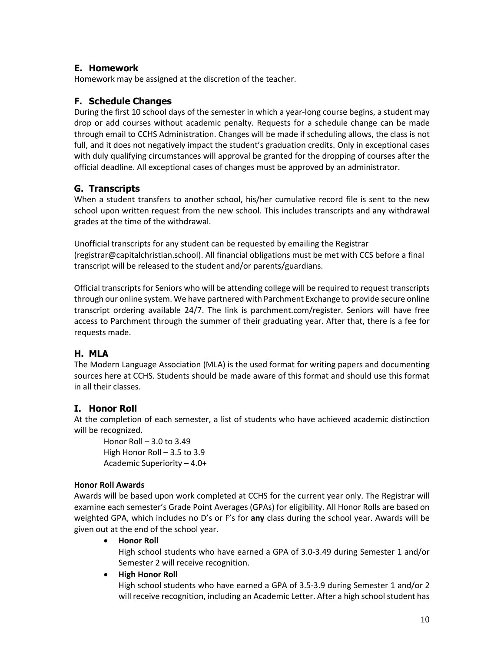## **E. Homework**

Homework may be assigned at the discretion of the teacher.

## **F. Schedule Changes**

During the first 10 school days of the semester in which a year-long course begins, a student may drop or add courses without academic penalty. Requests for a schedule change can be made through email to CCHS Administration. Changes will be made if scheduling allows, the class is not full, and it does not negatively impact the student's graduation credits. Only in exceptional cases with duly qualifying circumstances will approval be granted for the dropping of courses after the official deadline. All exceptional cases of changes must be approved by an administrator.

## **G. Transcripts**

When a student transfers to another school, his/her cumulative record file is sent to the new school upon written request from the new school. This includes transcripts and any withdrawal grades at the time of the withdrawal.

Unofficial transcripts for any student can be requested by emailing the Registrar (registrar@capitalchristian.school). All financial obligations must be met with CCS before a final transcript will be released to the student and/or parents/guardians.

Official transcripts for Seniors who will be attending college will be required to request transcripts through our online system. We have partnered with Parchment Exchange to provide secure online transcript ordering available 24/7. The link is parchment.com/register. Seniors will have free access to Parchment through the summer of their graduating year. After that, there is a fee for requests made.

## **H. MLA**

The Modern Language Association (MLA) is the used format for writing papers and documenting sources here at CCHS. Students should be made aware of this format and should use this format in all their classes.

## **I. Honor Roll**

At the completion of each semester, a list of students who have achieved academic distinction will be recognized.

Honor Roll – 3.0 to 3.49 High Honor Roll – 3.5 to 3.9 Academic Superiority – 4.0+

### **Honor Roll Awards**

Awards will be based upon work completed at CCHS for the current year only. The Registrar will examine each semester's Grade Point Averages (GPAs) for eligibility. All Honor Rolls are based on weighted GPA, which includes no D's or F's for **any** class during the school year. Awards will be given out at the end of the school year.

• **Honor Roll**

High school students who have earned a GPA of 3.0-3.49 during Semester 1 and/or Semester 2 will receive recognition.

• **High Honor Roll**

High school students who have earned a GPA of 3.5-3.9 during Semester 1 and/or 2 will receive recognition, including an Academic Letter. After a high school student has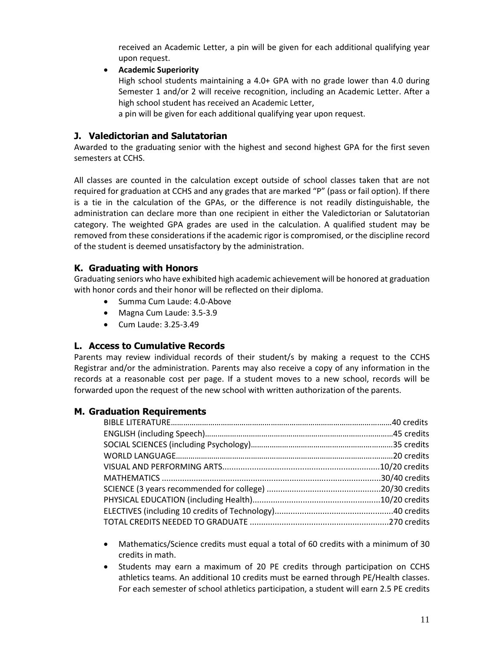received an Academic Letter, a pin will be given for each additional qualifying year upon request.

• **Academic Superiority**

High school students maintaining a 4.0+ GPA with no grade lower than 4.0 during Semester 1 and/or 2 will receive recognition, including an Academic Letter. After a high school student has received an Academic Letter,

a pin will be given for each additional qualifying year upon request.

### **J. Valedictorian and Salutatorian**

Awarded to the graduating senior with the highest and second highest GPA for the first seven semesters at CCHS.

All classes are counted in the calculation except outside of school classes taken that are not required for graduation at CCHS and any grades that are marked "P" (pass or fail option). If there is a tie in the calculation of the GPAs, or the difference is not readily distinguishable, the administration can declare more than one recipient in either the Valedictorian or Salutatorian category. The weighted GPA grades are used in the calculation. A qualified student may be removed from these considerations if the academic rigor is compromised, or the discipline record of the student is deemed unsatisfactory by the administration.

### **K. Graduating with Honors**

Graduating seniors who have exhibited high academic achievement will be honored at graduation with honor cords and their honor will be reflected on their diploma.

- Summa Cum Laude: 4.0-Above
- Magna Cum Laude: 3.5-3.9
- Cum Laude: 3.25-3.49

### **L. Access to Cumulative Records**

Parents may review individual records of their student/s by making a request to the CCHS Registrar and/or the administration. Parents may also receive a copy of any information in the records at a reasonable cost per page. If a student moves to a new school, records will be forwarded upon the request of the new school with written authorization of the parents.

### **M. Graduation Requirements**

- Mathematics/Science credits must equal a total of 60 credits with a minimum of 30 credits in math.
- Students may earn a maximum of 20 PE credits through participation on CCHS athletics teams. An additional 10 credits must be earned through PE/Health classes. For each semester of school athletics participation, a student will earn 2.5 PE credits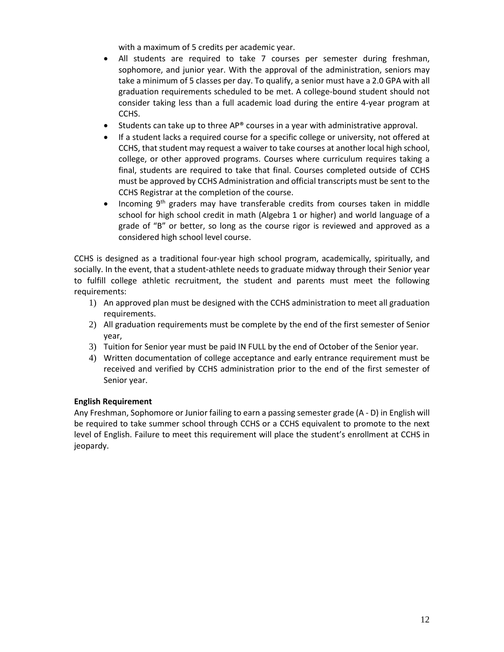with a maximum of 5 credits per academic year.

- All students are required to take 7 courses per semester during freshman, sophomore, and junior year. With the approval of the administration, seniors may take a minimum of 5 classes per day. To qualify, a senior must have a 2.0 GPA with all graduation requirements scheduled to be met. A college-bound student should not consider taking less than a full academic load during the entire 4-year program at CCHS.
- Students can take up to three AP® courses in a year with administrative approval.
- If a student lacks a required course for a specific college or university, not offered at CCHS, that student may request a waiver to take courses at another local high school, college, or other approved programs. Courses where curriculum requires taking a final, students are required to take that final. Courses completed outside of CCHS must be approved by CCHS Administration and official transcripts must be sent to the CCHS Registrar at the completion of the course.
- Incoming 9<sup>th</sup> graders may have transferable credits from courses taken in middle school for high school credit in math (Algebra 1 or higher) and world language of a grade of "B" or better, so long as the course rigor is reviewed and approved as a considered high school level course.

CCHS is designed as a traditional four-year high school program, academically, spiritually, and socially. In the event, that a student-athlete needs to graduate midway through their Senior year to fulfill college athletic recruitment, the student and parents must meet the following requirements:

- 1) An approved plan must be designed with the CCHS administration to meet all graduation requirements.
- 2) All graduation requirements must be complete by the end of the first semester of Senior year,
- 3) Tuition for Senior year must be paid IN FULL by the end of October of the Senior year.
- 4) Written documentation of college acceptance and early entrance requirement must be received and verified by CCHS administration prior to the end of the first semester of Senior year.

#### **English Requirement**

Any Freshman, Sophomore or Junior failing to earn a passing semester grade (A - D) in English will be required to take summer school through CCHS or a CCHS equivalent to promote to the next level of English. Failure to meet this requirement will place the student's enrollment at CCHS in jeopardy.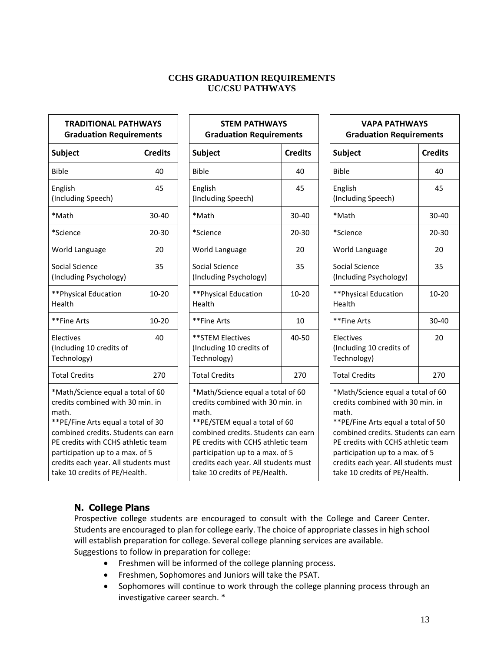## **CCHS GRADUATION REQUIREMENTS UC/CSU PATHWAYS**

# **TRADITIONAL PATHWAYS Graduation Requirements** English (Including Speech) World Language 20 World Language 20 World Language 20 Social Science (Including Psychology) \*\*Physical Education Health Electives (Including 10 credits of Technology) \*Math/Science equal a total of 60 credits combined with 30 min. in math. \*\*PE/Fine Arts equal a total of 30 combined credits. Students can earn PE credits with CCHS athletic team participation up to a max. of 5 credits each year. All students must take 10 credits of PE/Health.

# **STEM PATHWAYS Graduation Requirements**  $\begin{array}{|c|c|c|c|}\hline \text{Subject} & \text{Credits} & \text{Subject} \hline \end{array}$ Bible 40 Bible 40 Bible 40 45 English (Including Speech) 45 \*Math 30-40 \*Math 30-40 \*Math 30-40 \*Science 20-30 \*Science 20-30 \*Science 20-30 35 | Social Science (Including Psychology) 10-20 **\*\*Physical Education** Health  $10-20$ \*\*Fine Arts | 10-20 | |\*\*Fine Arts | 10 | |\*\*Fine Arts | 30-40 40 \*\*STEM Electives (Including 10 credits of Technology)  $40 - 50$ Total Credits | 270 | | Total Credits | 270 | | Total Credits | 270 \*Math/Science equal a total of 60 credits combined with 30 min. in math. \*\*PE/STEM equal a total of 60 combined credits. Students can earn PE credits with CCHS athletic team participation up to a max. of 5 credits each year. All students must take 10 credits of PE/Health.

| ts            | <b>VAPA PATHWAYS</b><br><b>Graduation Requirements</b>                                                                |                |  |
|---------------|-----------------------------------------------------------------------------------------------------------------------|----------------|--|
| dits:         | <b>Subject</b>                                                                                                        | <b>Credits</b> |  |
| 40            | <b>Bible</b>                                                                                                          | 40             |  |
| 45            | English<br>(Including Speech)                                                                                         | 45             |  |
| $0 - 40$      | *Math                                                                                                                 | 30-40          |  |
| J-30          | *Science                                                                                                              | $20 - 30$      |  |
| 20            | World Language                                                                                                        | 20             |  |
| 35            | Social Science<br>(Including Psychology)                                                                              | 35             |  |
| 2-20          | **Physical Education<br>Health                                                                                        | 10-20          |  |
| 10            | **Fine Arts                                                                                                           | 30-40          |  |
| $3-50$        | Electives<br>(Including 10 credits of<br>Technology)                                                                  | 20             |  |
| 270           | <b>Total Credits</b>                                                                                                  | 270            |  |
| 60<br>in      | *Math/Science equal a total of 60<br>credits combined with 30 min. in<br>math.<br>** PE/Fine Arts equal a total of 50 |                |  |
| ı earn<br>am: | combined credits. Students can earn<br>PE credits with CCHS athletic team<br>participation up to a max. of 5          |                |  |

credits each year. All students must take 10 credits of PE/Health.

# **N. College Plans**

Prospective college students are encouraged to consult with the College and Career Center. Students are encouraged to plan for college early. The choice of appropriate classes in high school will establish preparation for college. Several college planning services are available. Suggestions to follow in preparation for college:

- Freshmen will be informed of the college planning process.
- Freshmen, Sophomores and Juniors will take the PSAT.
- Sophomores will continue to work through the college planning process through an investigative career search. \*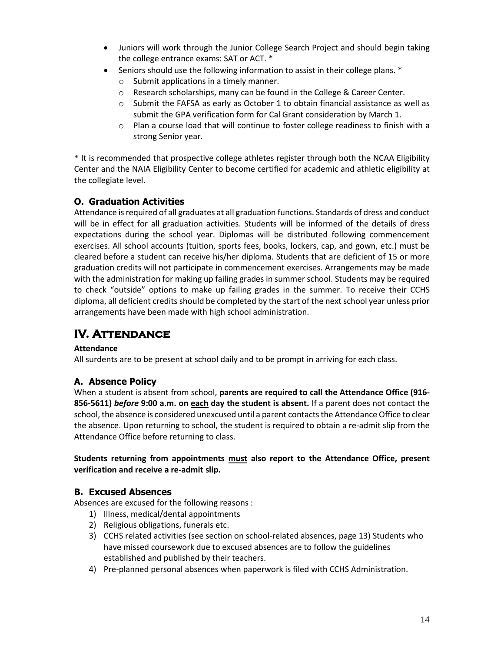- Juniors will work through the Junior College Search Project and should begin taking the college entrance exams: SAT or ACT. \*
- Seniors should use the following information to assist in their college plans. \*
	- o Submit applications in a timely manner.
	- o Research scholarships, many can be found in the College & Career Center.
	- o Submit the FAFSA as early as October 1 to obtain financial assistance as well as submit the GPA verification form for Cal Grant consideration by March 1.
	- $\circ$  Plan a course load that will continue to foster college readiness to finish with a strong Senior year.

\* It is recommended that prospective college athletes register through both the NCAA Eligibility Center and the NAIA Eligibility Center to become certified for academic and athletic eligibility at the collegiate level.

# **O. Graduation Activities**

Attendance is required of all graduates at all graduation functions. Standards of dress and conduct will be in effect for all graduation activities. Students will be informed of the details of dress expectations during the school year. Diplomas will be distributed following commencement exercises. All school accounts (tuition, sports fees, books, lockers, cap, and gown, etc.) must be cleared before a student can receive his/her diploma. Students that are deficient of 15 or more graduation credits will not participate in commencement exercises. Arrangements may be made with the administration for making up failing grades in summer school. Students may be required to check "outside" options to make up failing grades in the summer. To receive their CCHS diploma, all deficient credits should be completed by the start of the next school year unless prior arrangements have been made with high school administration.

# **IV. Attendance**

### **Attendance**

All surdents are to be present at school daily and to be prompt in arriving for each class.

## **A. Absence Policy**

When a student is absent from school, **parents are required to call the Attendance Office (916- 856-5611)** *before* **9:00 a.m. on each day the student is absent.** If a parent does not contact the school, the absence is considered unexcused until a parent contacts the Attendance Office to clear the absence. Upon returning to school, the student is required to obtain a re-admit slip from the Attendance Office before returning to class.

#### **Students returning from appointments must also report to the Attendance Office, present verification and receive a re-admit slip.**

### **B. Excused Absences**

Absences are excused for the following reasons :

- 1) Illness, medical/dental appointments
- 2) Religious obligations, funerals etc.
- 3) CCHS related activities (see section on school-related absences, page 13) Students who have missed coursework due to excused absences are to follow the guidelines established and published by their teachers.
- 4) Pre-planned personal absences when paperwork is filed with CCHS Administration.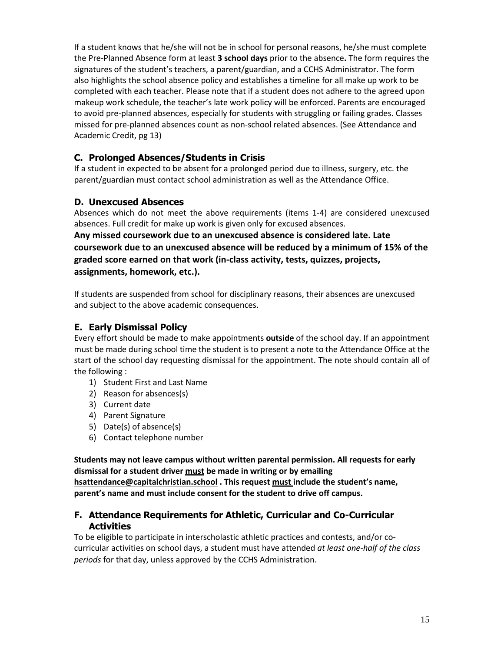If a student knows that he/she will not be in school for personal reasons, he/she must complete the Pre-Planned Absence form at least **3 school days** prior to the absence**.** The form requires the signatures of the student's teachers, a parent/guardian, and a CCHS Administrator. The form also highlights the school absence policy and establishes a timeline for all make up work to be completed with each teacher. Please note that if a student does not adhere to the agreed upon makeup work schedule, the teacher's late work policy will be enforced. Parents are encouraged to avoid pre-planned absences, especially for students with struggling or failing grades. Classes missed for pre-planned absences count as non-school related absences. (See Attendance and Academic Credit, pg 13)

## **C. Prolonged Absences/Students in Crisis**

If a student in expected to be absent for a prolonged period due to illness, surgery, etc. the parent/guardian must contact school administration as well as the Attendance Office.

## **D. Unexcused Absences**

Absences which do not meet the above requirements (items 1-4) are considered unexcused absences. Full credit for make up work is given only for excused absences.

**Any missed coursework due to an unexcused absence is considered late. Late coursework due to an unexcused absence will be reduced by a minimum of 15% of the graded score earned on that work (in-class activity, tests, quizzes, projects, assignments, homework, etc.).**

If students are suspended from school for disciplinary reasons, their absences are unexcused and subject to the above academic consequences.

## **E. Early Dismissal Policy**

Every effort should be made to make appointments **outside** of the school day. If an appointment must be made during school time the student is to present a note to the Attendance Office at the start of the school day requesting dismissal for the appointment. The note should contain all of the following :

- 1) Student First and Last Name
- 2) Reason for absences(s)
- 3) Current date
- 4) Parent Signature
- 5) Date(s) of absence(s)
- 6) Contact telephone number

**Students may not leave campus without written parental permission. All requests for early dismissal for a student driver must be made in writing or by emailing [hsattendance@capitalchristian.school](mailto:hsattendance@capitalchristian.school) . This request must include the student's name, parent's name and must include consent for the student to drive off campus.**

## **F. Attendance Requirements for Athletic, Curricular and Co-Curricular Activities**

To be eligible to participate in interscholastic athletic practices and contests, and/or cocurricular activities on school days, a student must have attended *at least one-half of the class periods* for that day, unless approved by the CCHS Administration.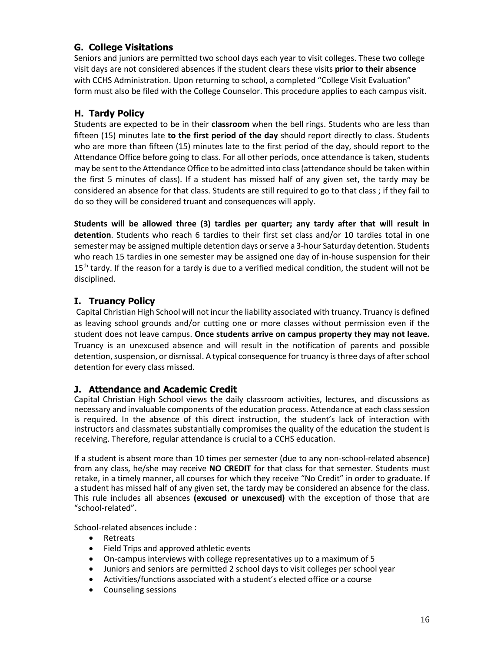## **G. College Visitations**

Seniors and juniors are permitted two school days each year to visit colleges. These two college visit days are not considered absences if the student clears these visits **prior to their absence** with CCHS Administration. Upon returning to school, a completed "College Visit Evaluation" form must also be filed with the College Counselor. This procedure applies to each campus visit.

## **H. Tardy Policy**

Students are expected to be in their **classroom** when the bell rings. Students who are less than fifteen (15) minutes late **to the first period of the day** should report directly to class. Students who are more than fifteen (15) minutes late to the first period of the day, should report to the Attendance Office before going to class. For all other periods, once attendance is taken, students may be sent to the Attendance Office to be admitted into class(attendance should be taken within the first 5 minutes of class). If a student has missed half of any given set, the tardy may be considered an absence for that class. Students are still required to go to that class ; if they fail to do so they will be considered truant and consequences will apply.

**Students will be allowed three (3) tardies per quarter; any tardy after that will result in detention**. Students who reach 6 tardies to their first set class and/or 10 tardies total in one semester may be assigned multiple detention days or serve a 3-hour Saturday detention. Students who reach 15 tardies in one semester may be assigned one day of in-house suspension for their  $15<sup>th</sup>$  tardy. If the reason for a tardy is due to a verified medical condition, the student will not be disciplined.

## **I. Truancy Policy**

Capital Christian High School will not incurthe liability associated with truancy. Truancy is defined as leaving school grounds and/or cutting one or more classes without permission even if the student does not leave campus. **Once students arrive on campus property they may not leave.** Truancy is an unexcused absence and will result in the notification of parents and possible detention, suspension, or dismissal. A typical consequence for truancy is three days of after school detention for every class missed.

## **J. Attendance and Academic Credit**

Capital Christian High School views the daily classroom activities, lectures, and discussions as necessary and invaluable components of the education process. Attendance at each class session is required. In the absence of this direct instruction, the student's lack of interaction with instructors and classmates substantially compromises the quality of the education the student is receiving. Therefore, regular attendance is crucial to a CCHS education.

If a student is absent more than 10 times per semester (due to any non-school-related absence) from any class, he/she may receive **NO CREDIT** for that class for that semester. Students must retake, in a timely manner, all courses for which they receive "No Credit" in order to graduate. If a student has missed half of any given set, the tardy may be considered an absence for the class. This rule includes all absences **(excused or unexcused)** with the exception of those that are "school-related".

School-related absences include :

- Retreats
- Field Trips and approved athletic events
- On-campus interviews with college representatives up to a maximum of 5
- Juniors and seniors are permitted 2 school days to visit colleges per school year
- Activities/functions associated with a student's elected office or a course
- Counseling sessions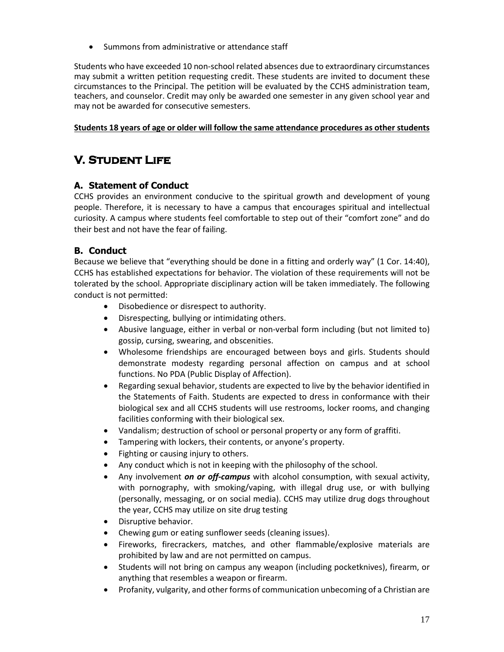• Summons from administrative or attendance staff

Students who have exceeded 10 non-school related absences due to extraordinary circumstances may submit a written petition requesting credit. These students are invited to document these circumstances to the Principal. The petition will be evaluated by the CCHS administration team, teachers, and counselor. Credit may only be awarded one semester in any given school year and may not be awarded for consecutive semesters.

#### **Students 18 years of age or older will follow the same attendance procedures as other students**

# **V. Student Life**

## **A. Statement of Conduct**

CCHS provides an environment conducive to the spiritual growth and development of young people. Therefore, it is necessary to have a campus that encourages spiritual and intellectual curiosity. A campus where students feel comfortable to step out of their "comfort zone" and do their best and not have the fear of failing.

## **B. Conduct**

Because we believe that "everything should be done in a fitting and orderly way" (1 Cor. 14:40), CCHS has established expectations for behavior. The violation of these requirements will not be tolerated by the school. Appropriate disciplinary action will be taken immediately. The following conduct is not permitted:

- Disobedience or disrespect to authority.
- Disrespecting, bullying or intimidating others.
- Abusive language, either in verbal or non-verbal form including (but not limited to) gossip, cursing, swearing, and obscenities.
- Wholesome friendships are encouraged between boys and girls. Students should demonstrate modesty regarding personal affection on campus and at school functions. No PDA (Public Display of Affection).
- Regarding sexual behavior, students are expected to live by the behavior identified in the Statements of Faith. Students are expected to dress in conformance with their biological sex and all CCHS students will use restrooms, locker rooms, and changing facilities conforming with their biological sex.
- Vandalism; destruction of school or personal property or any form of graffiti.
- Tampering with lockers, their contents, or anyone's property.
- Fighting or causing injury to others.
- Any conduct which is not in keeping with the philosophy of the school.
- Any involvement *on or off-campus* with alcohol consumption, with sexual activity, with pornography, with smoking/vaping, with illegal drug use, or with bullying (personally, messaging, or on social media). CCHS may utilize drug dogs throughout the year, CCHS may utilize on site drug testing
- Disruptive behavior.
- Chewing gum or eating sunflower seeds (cleaning issues).
- Fireworks, firecrackers, matches, and other flammable/explosive materials are prohibited by law and are not permitted on campus.
- Students will not bring on campus any weapon (including pocketknives), firearm, or anything that resembles a weapon or firearm.
- Profanity, vulgarity, and other forms of communication unbecoming of a Christian are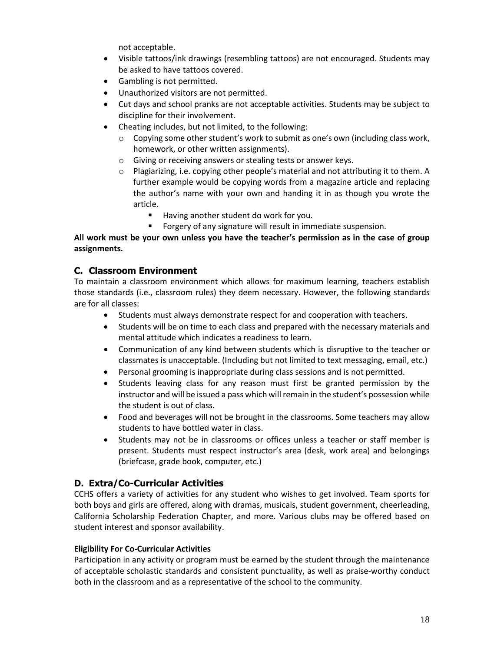not acceptable.

- Visible tattoos/ink drawings (resembling tattoos) are not encouraged. Students may be asked to have tattoos covered.
- Gambling is not permitted.
- Unauthorized visitors are not permitted.
- Cut days and school pranks are not acceptable activities. Students may be subject to discipline for their involvement.
- Cheating includes, but not limited, to the following:
	- $\circ$  Copying some other student's work to submit as one's own (including class work, homework, or other written assignments).
	- o Giving or receiving answers or stealing tests or answer keys.
	- $\circ$  Plagiarizing, i.e. copying other people's material and not attributing it to them. A further example would be copying words from a magazine article and replacing the author's name with your own and handing it in as though you wrote the article.
		- Having another student do work for you.
		- Forgery of any signature will result in immediate suspension.

All work must be your own unless you have the teacher's permission as in the case of group **assignments.**

#### **C. Classroom Environment**

To maintain a classroom environment which allows for maximum learning, teachers establish those standards (i.e., classroom rules) they deem necessary. However, the following standards are for all classes:

- Students must always demonstrate respect for and cooperation with teachers.
- Students will be on time to each class and prepared with the necessary materials and mental attitude which indicates a readiness to learn.
- Communication of any kind between students which is disruptive to the teacher or classmates is unacceptable. (Including but not limited to text messaging, email, etc.)
- Personal grooming is inappropriate during class sessions and is not permitted.
- Students leaving class for any reason must first be granted permission by the instructor and will be issued a pass which will remain in the student's possession while the student is out of class.
- Food and beverages will not be brought in the classrooms. Some teachers may allow students to have bottled water in class.
- Students may not be in classrooms or offices unless a teacher or staff member is present. Students must respect instructor's area (desk, work area) and belongings (briefcase, grade book, computer, etc.)

### **D. Extra/Co-Curricular Activities**

CCHS offers a variety of activities for any student who wishes to get involved. Team sports for both boys and girls are offered, along with dramas, musicals, student government, cheerleading, California Scholarship Federation Chapter, and more. Various clubs may be offered based on student interest and sponsor availability.

#### **Eligibility For Co-Curricular Activities**

Participation in any activity or program must be earned by the student through the maintenance of acceptable scholastic standards and consistent punctuality, as well as praise-worthy conduct both in the classroom and as a representative of the school to the community.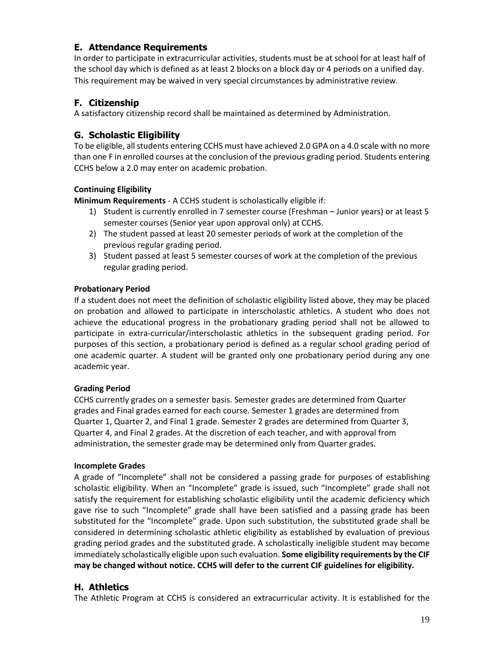## **E. Attendance Requirements**

In order to participate in extracurricular activities, students must be at school for at least half of the school day which is defined as at least 2 blocks on a block day or 4 periods on a unified day. This requirement may be waived in very special circumstances by administrative review.

## **F. Citizenship**

A satisfactory citizenship record shall be maintained as determined by Administration.

## **G. Scholastic Eligibility**

To be eligible, all students entering CCHS must have achieved 2.0 GPA on a 4.0 scale with no more than one F in enrolled courses at the conclusion of the previous grading period. Students entering CCHS below a 2.0 may enter on academic probation.

### **Continuing Eligibility**

**Minimum Requirements** - A CCHS student is scholastically eligible if:

- 1) Student is currently enrolled in 7 semester course (Freshman Junior years) or at least 5 semester courses (Senior year upon approval only) at CCHS.
- 2) The student passed at least 20 semester periods of work at the completion of the previous regular grading period.
- 3) Student passed at least 5 semester courses of work at the completion of the previous regular grading period.

#### **Probationary Period**

If a student does not meet the definition of scholastic eligibility listed above, they may be placed on probation and allowed to participate in interscholastic athletics. A student who does not achieve the educational progress in the probationary grading period shall not be allowed to participate in extra-curricular/interscholastic athletics in the subsequent grading period. For purposes of this section, a probationary period is defined as a regular school grading period of one academic quarter. A student will be granted only one probationary period during any one academic year.

#### **Grading Period**

CCHS currently grades on a semester basis. Semester grades are determined from Quarter grades and Final grades earned for each course. Semester 1 grades are determined from Quarter 1, Quarter 2, and Final 1 grade. Semester 2 grades are determined from Quarter 3, Quarter 4, and Final 2 grades. At the discretion of each teacher, and with approval from administration, the semester grade may be determined only from Quarter grades.

#### **Incomplete Grades**

A grade of "Incomplete" shall not be considered a passing grade for purposes of establishing scholastic eligibility. When an "Incomplete" grade is issued, such "Incomplete" grade shall not satisfy the requirement for establishing scholastic eligibility until the academic deficiency which gave rise to such "Incomplete" grade shall have been satisfied and a passing grade has been substituted for the "Incomplete" grade. Upon such substitution, the substituted grade shall be considered in determining scholastic athletic eligibility as established by evaluation of previous grading period grades and the substituted grade. A scholastically ineligible student may become immediately scholastically eligible upon such evaluation. **Some eligibility requirements by the CIF may be changed without notice. CCHS will defer to the current CIF guidelines for eligibility.**

### **H. Athletics**

The Athletic Program at CCHS is considered an extracurricular activity. It is established for the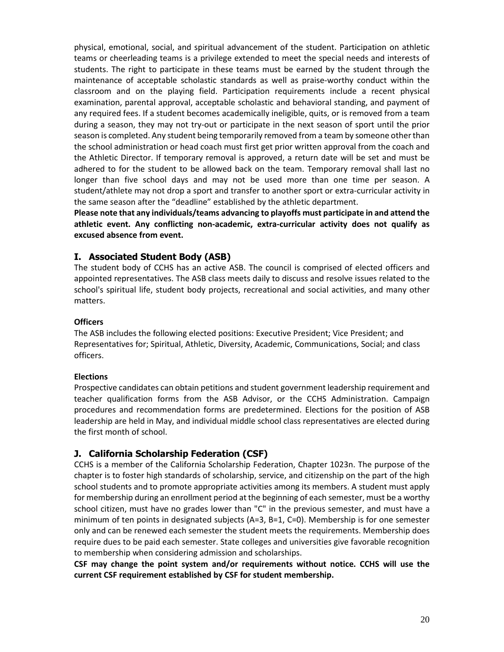physical, emotional, social, and spiritual advancement of the student. Participation on athletic teams or cheerleading teams is a privilege extended to meet the special needs and interests of students. The right to participate in these teams must be earned by the student through the maintenance of acceptable scholastic standards as well as praise-worthy conduct within the classroom and on the playing field. Participation requirements include a recent physical examination, parental approval, acceptable scholastic and behavioral standing, and payment of any required fees. If a student becomes academically ineligible, quits, or is removed from a team during a season, they may not try-out or participate in the next season of sport until the prior season is completed. Any student being temporarily removed from a team by someone otherthan the school administration or head coach must first get prior written approval from the coach and the Athletic Director. If temporary removal is approved, a return date will be set and must be adhered to for the student to be allowed back on the team. Temporary removal shall last no longer than five school days and may not be used more than one time per season. A student/athlete may not drop a sport and transfer to another sport or extra-curricular activity in the same season after the "deadline" established by the athletic department.

**Please note that any individuals/teams advancing to playoffs must participate in and attend the athletic event. Any conflicting non-academic, extra-curricular activity does not qualify as excused absence from event.**

## **I. Associated Student Body (ASB)**

The student body of CCHS has an active ASB. The council is comprised of elected officers and appointed representatives. The ASB class meets daily to discuss and resolve issues related to the school's spiritual life, student body projects, recreational and social activities, and many other matters.

#### **Officers**

The ASB includes the following elected positions: Executive President; Vice President; and Representatives for; Spiritual, Athletic, Diversity, Academic, Communications, Social; and class officers.

#### **Elections**

Prospective candidates can obtain petitions and student government leadership requirement and teacher qualification forms from the ASB Advisor, or the CCHS Administration. Campaign procedures and recommendation forms are predetermined. Elections for the position of ASB leadership are held in May, and individual middle school class representatives are elected during the first month of school.

## **J. California Scholarship Federation (CSF)**

CCHS is a member of the California Scholarship Federation, Chapter 1023n. The purpose of the chapter is to foster high standards of scholarship, service, and citizenship on the part of the high school students and to promote appropriate activities among its members. A student must apply for membership during an enrollment period at the beginning of each semester, must be a worthy school citizen, must have no grades lower than "C" in the previous semester, and must have a minimum of ten points in designated subjects (A=3, B=1, C=0). Membership is for one semester only and can be renewed each semester the student meets the requirements. Membership does require dues to be paid each semester. State colleges and universities give favorable recognition to membership when considering admission and scholarships.

**CSF may change the point system and/or requirements without notice. CCHS will use the current CSF requirement established by CSF for student membership.**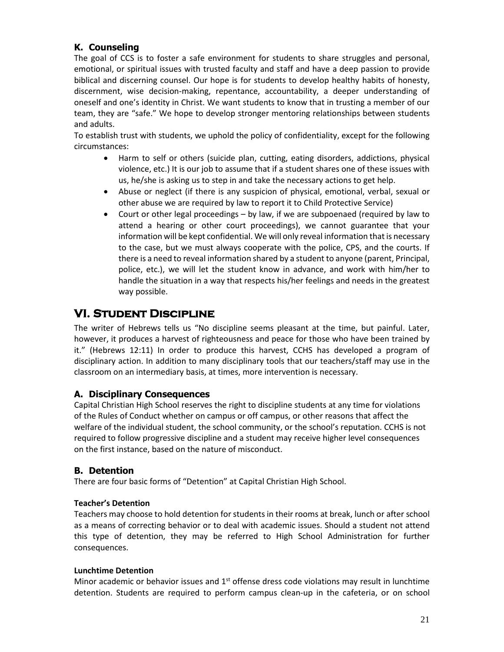## **K. Counseling**

The goal of CCS is to foster a safe environment for students to share struggles and personal, emotional, or spiritual issues with trusted faculty and staff and have a deep passion to provide biblical and discerning counsel. Our hope is for students to develop healthy habits of honesty, discernment, wise decision-making, repentance, accountability, a deeper understanding of oneself and one's identity in Christ. We want students to know that in trusting a member of our team, they are "safe." We hope to develop stronger mentoring relationships between students and adults.

To establish trust with students, we uphold the policy of confidentiality, except for the following circumstances:

- Harm to self or others (suicide plan, cutting, eating disorders, addictions, physical violence, etc.) It is our job to assume that if a student shares one of these issues with us, he/she is asking us to step in and take the necessary actions to get help.
- Abuse or neglect (if there is any suspicion of physical, emotional, verbal, sexual or other abuse we are required by law to report it to Child Protective Service)
- Court or other legal proceedings by law, if we are subpoenaed (required by law to attend a hearing or other court proceedings), we cannot guarantee that your information will be kept confidential. We will only reveal information that is necessary to the case, but we must always cooperate with the police, CPS, and the courts. If there is a need to reveal information shared by a student to anyone (parent, Principal, police, etc.), we will let the student know in advance, and work with him/her to handle the situation in a way that respects his/her feelings and needs in the greatest way possible.

# **VI. Student Discipline**

The writer of Hebrews tells us "No discipline seems pleasant at the time, but painful. Later, however, it produces a harvest of righteousness and peace for those who have been trained by it." (Hebrews 12:11) In order to produce this harvest, CCHS has developed a program of disciplinary action. In addition to many disciplinary tools that our teachers/staff may use in the classroom on an intermediary basis, at times, more intervention is necessary.

### **A. Disciplinary Consequences**

Capital Christian High School reserves the right to discipline students at any time for violations of the Rules of Conduct whether on campus or off campus, or other reasons that affect the welfare of the individual student, the school community, or the school's reputation. CCHS is not required to follow progressive discipline and a student may receive higher level consequences on the first instance, based on the nature of misconduct.

## **B. Detention**

There are four basic forms of "Detention" at Capital Christian High School.

### **Teacher's Detention**

Teachers may choose to hold detention for students in their rooms at break, lunch or after school as a means of correcting behavior or to deal with academic issues. Should a student not attend this type of detention, they may be referred to High School Administration for further consequences.

#### **Lunchtime Detention**

Minor academic or behavior issues and 1<sup>st</sup> offense dress code violations may result in lunchtime detention. Students are required to perform campus clean-up in the cafeteria, or on school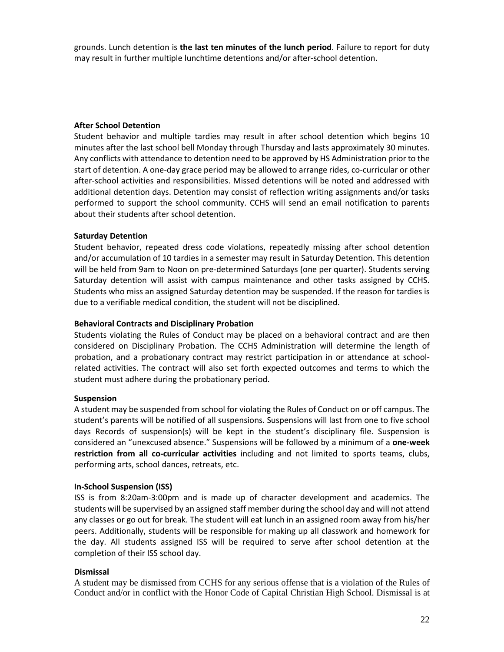grounds. Lunch detention is **the last ten minutes of the lunch period**. Failure to report for duty may result in further multiple lunchtime detentions and/or after-school detention.

#### **After School Detention**

Student behavior and multiple tardies may result in after school detention which begins 10 minutes after the last school bell Monday through Thursday and lasts approximately 30 minutes. Any conflicts with attendance to detention need to be approved by HS Administration prior to the start of detention. A one-day grace period may be allowed to arrange rides, co-curricular or other after-school activities and responsibilities. Missed detentions will be noted and addressed with additional detention days. Detention may consist of reflection writing assignments and/or tasks performed to support the school community. CCHS will send an email notification to parents about their students after school detention.

#### **Saturday Detention**

Student behavior, repeated dress code violations, repeatedly missing after school detention and/or accumulation of 10 tardies in a semester may result in Saturday Detention. This detention will be held from 9am to Noon on pre-determined Saturdays (one per quarter). Students serving Saturday detention will assist with campus maintenance and other tasks assigned by CCHS. Students who miss an assigned Saturday detention may be suspended. If the reason for tardies is due to a verifiable medical condition, the student will not be disciplined.

#### **Behavioral Contracts and Disciplinary Probation**

Students violating the Rules of Conduct may be placed on a behavioral contract and are then considered on Disciplinary Probation. The CCHS Administration will determine the length of probation, and a probationary contract may restrict participation in or attendance at schoolrelated activities. The contract will also set forth expected outcomes and terms to which the student must adhere during the probationary period.

#### **Suspension**

A student may be suspended from school for violating the Rules of Conduct on or off campus. The student's parents will be notified of all suspensions. Suspensions will last from one to five school days Records of suspension(s) will be kept in the student's disciplinary file. Suspension is considered an "unexcused absence." Suspensions will be followed by a minimum of a **one-week restriction from all co-curricular activities** including and not limited to sports teams, clubs, performing arts, school dances, retreats, etc.

#### **In-School Suspension (ISS)**

ISS is from 8:20am-3:00pm and is made up of character development and academics. The students will be supervised by an assigned staff member during the school day and will not attend any classes or go out for break. The student will eat lunch in an assigned room away from his/her peers. Additionally, students will be responsible for making up all classwork and homework for the day. All students assigned ISS will be required to serve after school detention at the completion of their ISS school day.

#### **Dismissal**

A student may be dismissed from CCHS for any serious offense that is a violation of the Rules of Conduct and/or in conflict with the Honor Code of Capital Christian High School. Dismissal is at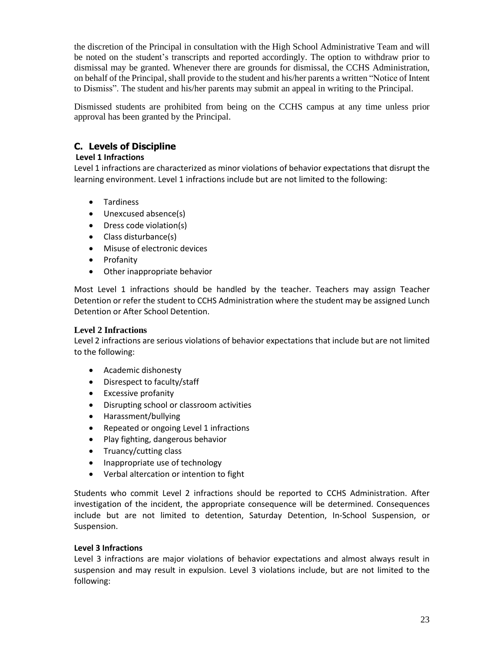the discretion of the Principal in consultation with the High School Administrative Team and will be noted on the student's transcripts and reported accordingly. The option to withdraw prior to dismissal may be granted. Whenever there are grounds for dismissal, the CCHS Administration, on behalf of the Principal, shall provide to the student and his/her parents a written "Notice of Intent to Dismiss". The student and his/her parents may submit an appeal in writing to the Principal.

Dismissed students are prohibited from being on the CCHS campus at any time unless prior approval has been granted by the Principal.

## **C. Levels of Discipline**

#### **Level 1 Infractions**

Level 1 infractions are characterized as minor violations of behavior expectations that disrupt the learning environment. Level 1 infractions include but are not limited to the following:

- Tardiness
- Unexcused absence(s)
- Dress code violation(s)
- Class disturbance(s)
- Misuse of electronic devices
- Profanity
- Other inappropriate behavior

Most Level 1 infractions should be handled by the teacher. Teachers may assign Teacher Detention or refer the student to CCHS Administration where the student may be assigned Lunch Detention or After School Detention.

#### **Level 2 Infractions**

Level 2 infractions are serious violations of behavior expectations that include but are not limited to the following:

- Academic dishonesty
- Disrespect to faculty/staff
- Excessive profanity
- Disrupting school or classroom activities
- Harassment/bullying
- Repeated or ongoing Level 1 infractions
- Play fighting, dangerous behavior
- Truancy/cutting class
- Inappropriate use of technology
- Verbal altercation or intention to fight

Students who commit Level 2 infractions should be reported to CCHS Administration. After investigation of the incident, the appropriate consequence will be determined. Consequences include but are not limited to detention, Saturday Detention, In-School Suspension, or Suspension.

#### **Level 3 Infractions**

Level 3 infractions are major violations of behavior expectations and almost always result in suspension and may result in expulsion. Level 3 violations include, but are not limited to the following: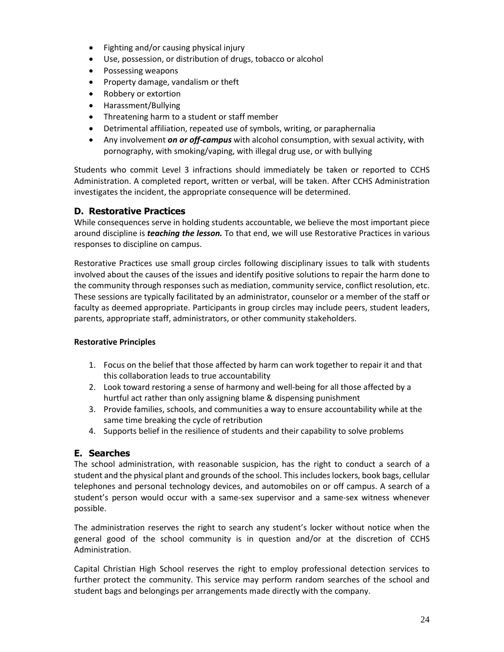- Fighting and/or causing physical injury
- Use, possession, or distribution of drugs, tobacco or alcohol
- Possessing weapons
- Property damage, vandalism or theft
- Robbery or extortion
- Harassment/Bullying
- Threatening harm to a student or staff member
- Detrimental affiliation, repeated use of symbols, writing, or paraphernalia
- Any involvement *on or off-campus* with alcohol consumption, with sexual activity, with pornography, with smoking/vaping, with illegal drug use, or with bullying

Students who commit Level 3 infractions should immediately be taken or reported to CCHS Administration. A completed report, written or verbal, will be taken. After CCHS Administration investigates the incident, the appropriate consequence will be determined.

### **D. Restorative Practices**

While consequences serve in holding students accountable, we believe the most important piece around discipline is *teaching the lesson.* To that end, we will use Restorative Practices in various responses to discipline on campus.

Restorative Practices use small group circles following disciplinary issues to talk with students involved about the causes of the issues and identify positive solutions to repair the harm done to the community through responses such as mediation, community service, conflict resolution, etc. These sessions are typically facilitated by an administrator, counselor or a member of the staff or faculty as deemed appropriate. Participants in group circles may include peers, student leaders, parents, appropriate staff, administrators, or other community stakeholders.

#### **Restorative Principles**

- 1. Focus on the belief that those affected by harm can work together to repair it and that this collaboration leads to true accountability
- 2. Look toward restoring a sense of harmony and well-being for all those affected by a hurtful act rather than only assigning blame & dispensing punishment
- 3. Provide families, schools, and communities a way to ensure accountability while at the same time breaking the cycle of retribution
- 4. Supports belief in the resilience of students and their capability to solve problems

### **E. Searches**

The school administration, with reasonable suspicion, has the right to conduct a search of a student and the physical plant and grounds of the school. This includes lockers, book bags, cellular telephones and personal technology devices, and automobiles on or off campus. A search of a student's person would occur with a same-sex supervisor and a same-sex witness whenever possible.

The administration reserves the right to search any student's locker without notice when the general good of the school community is in question and/or at the discretion of CCHS Administration.

Capital Christian High School reserves the right to employ professional detection services to further protect the community. This service may perform random searches of the school and student bags and belongings per arrangements made directly with the company.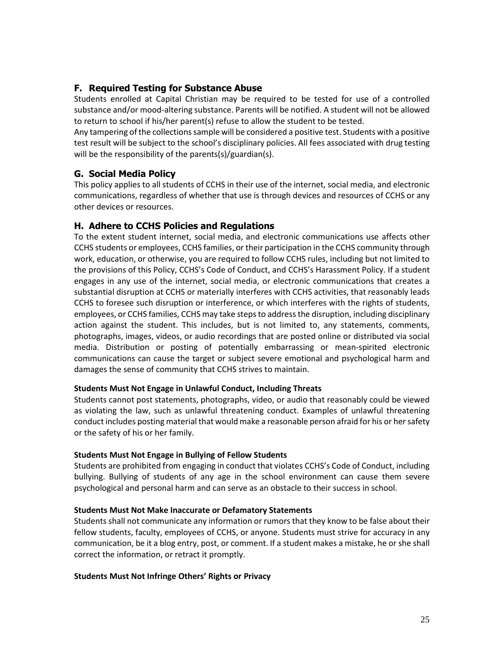## **F. Required Testing for Substance Abuse**

Students enrolled at Capital Christian may be required to be tested for use of a controlled substance and/or mood-altering substance. Parents will be notified. A student will not be allowed to return to school if his/her parent(s) refuse to allow the student to be tested.

Any tampering of the collections sample will be considered a positive test. Students with a positive test result will be subject to the school's disciplinary policies. All fees associated with drug testing will be the responsibility of the parents(s)/guardian(s).

### **G. Social Media Policy**

This policy applies to all students of CCHS in their use of the internet, social media, and electronic communications, regardless of whether that use is through devices and resources of CCHS or any other devices or resources.

### **H. Adhere to CCHS Policies and Regulations**

To the extent student internet, social media, and electronic communications use affects other CCHS students or employees, CCHS families, or their participation in the CCHS community through work, education, or otherwise, you are required to follow CCHS rules, including but not limited to the provisions of this Policy, CCHS's Code of Conduct, and CCHS's Harassment Policy. If a student engages in any use of the internet, social media, or electronic communications that creates a substantial disruption at CCHS or materially interferes with CCHS activities, that reasonably leads CCHS to foresee such disruption or interference, or which interferes with the rights of students, employees, or CCHS families, CCHS may take stepsto addressthe disruption, including disciplinary action against the student. This includes, but is not limited to, any statements, comments, photographs, images, videos, or audio recordings that are posted online or distributed via social media. Distribution or posting of potentially embarrassing or mean-spirited electronic communications can cause the target or subject severe emotional and psychological harm and damages the sense of community that CCHS strives to maintain.

#### **Students Must Not Engage in Unlawful Conduct, Including Threats**

Students cannot post statements, photographs, video, or audio that reasonably could be viewed as violating the law, such as unlawful threatening conduct. Examples of unlawful threatening conduct includes posting material that would make a reasonable person afraid for his or her safety or the safety of his or her family.

#### **Students Must Not Engage in Bullying of Fellow Students**

Students are prohibited from engaging in conduct that violates CCHS's Code of Conduct, including bullying. Bullying of students of any age in the school environment can cause them severe psychological and personal harm and can serve as an obstacle to their success in school.

#### **Students Must Not Make Inaccurate or Defamatory Statements**

Students shall not communicate any information or rumors that they know to be false about their fellow students, faculty, employees of CCHS, or anyone. Students must strive for accuracy in any communication, be it a blog entry, post, or comment. If a student makes a mistake, he orshe shall correct the information, or retract it promptly.

#### **Students Must Not Infringe Others' Rights or Privacy**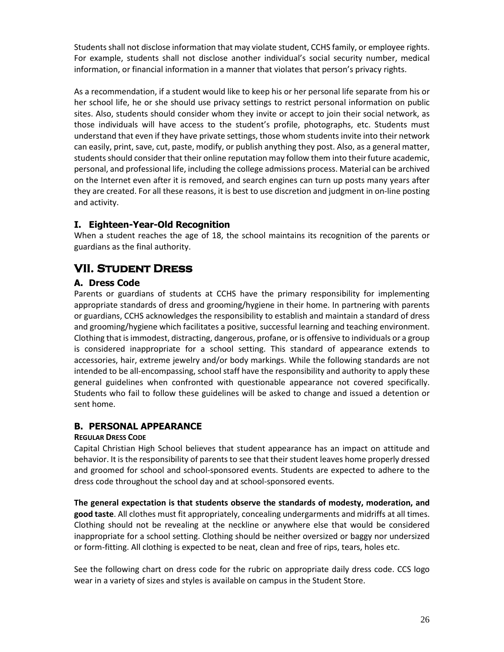Students shall not disclose information that may violate student, CCHS family, or employee rights. For example, students shall not disclose another individual's social security number, medical information, or financial information in a manner that violates that person's privacy rights.

As a recommendation, if a student would like to keep his or her personal life separate from his or her school life, he or she should use privacy settings to restrict personal information on public sites. Also, students should consider whom they invite or accept to join their social network, as those individuals will have access to the student's profile, photographs, etc. Students must understand that even if they have private settings, those whom students invite into their network can easily, print, save, cut, paste, modify, or publish anything they post. Also, as a general matter, students should consider that their online reputation may follow them into their future academic, personal, and professional life, including the college admissions process. Material can be archived on the Internet even after it is removed, and search engines can turn up posts many years after they are created. For all these reasons, it is best to use discretion and judgment in on-line posting and activity.

## **I. Eighteen-Year-Old Recognition**

When a student reaches the age of 18, the school maintains its recognition of the parents or guardians as the final authority.

# **VII. Student Dress**

## **A. Dress Code**

Parents or guardians of students at CCHS have the primary responsibility for implementing appropriate standards of dress and grooming/hygiene in their home. In partnering with parents or guardians, CCHS acknowledges the responsibility to establish and maintain a standard of dress and grooming/hygiene which facilitates a positive, successful learning and teaching environment. Clothing that isimmodest, distracting, dangerous, profane, or is offensive to individuals or a group is considered inappropriate for a school setting. This standard of appearance extends to accessories, hair, extreme jewelry and/or body markings. While the following standards are not intended to be all-encompassing, school staff have the responsibility and authority to apply these general guidelines when confronted with questionable appearance not covered specifically. Students who fail to follow these guidelines will be asked to change and issued a detention or sent home.

## **B. PERSONAL APPEARANCE**

### **REGULAR DRESS CODE**

Capital Christian High School believes that student appearance has an impact on attitude and behavior. It is the responsibility of parents to see that their student leaves home properly dressed and groomed for school and school-sponsored events. Students are expected to adhere to the dress code throughout the school day and at school-sponsored events.

**The general expectation is that students observe the standards of modesty, moderation, and good taste**. All clothes must fit appropriately, concealing undergarments and midriffs at all times. Clothing should not be revealing at the neckline or anywhere else that would be considered inappropriate for a school setting. Clothing should be neither oversized or baggy nor undersized or form-fitting. All clothing is expected to be neat, clean and free of rips, tears, holes etc.

See the following chart on dress code for the rubric on appropriate daily dress code. CCS logo wear in a variety of sizes and styles is available on campus in the Student Store.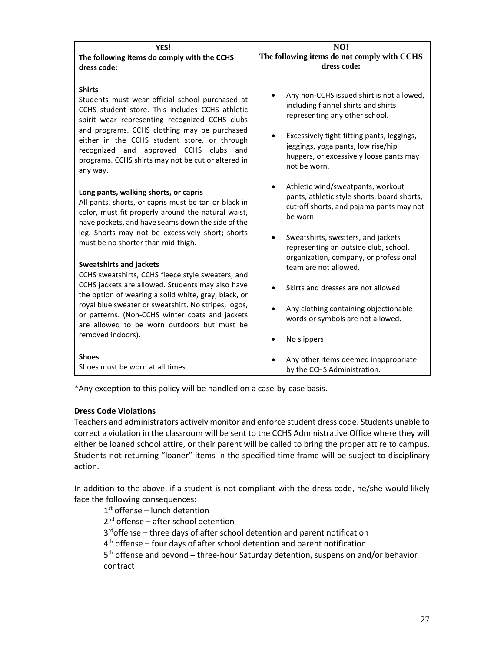| YES!                                                                                                                                                                                                                                                                                                                                                                                 | NO!                                                                                                                                                                                                                                                               |  |
|--------------------------------------------------------------------------------------------------------------------------------------------------------------------------------------------------------------------------------------------------------------------------------------------------------------------------------------------------------------------------------------|-------------------------------------------------------------------------------------------------------------------------------------------------------------------------------------------------------------------------------------------------------------------|--|
| The following items do comply with the CCHS                                                                                                                                                                                                                                                                                                                                          | The following items do not comply with CCHS                                                                                                                                                                                                                       |  |
| dress code:                                                                                                                                                                                                                                                                                                                                                                          | dress code:                                                                                                                                                                                                                                                       |  |
| <b>Shirts</b><br>Students must wear official school purchased at<br>CCHS student store. This includes CCHS athletic<br>spirit wear representing recognized CCHS clubs<br>and programs. CCHS clothing may be purchased<br>either in the CCHS student store, or through<br>recognized and<br>approved CCHS clubs and<br>programs. CCHS shirts may not be cut or altered in<br>any way. | Any non-CCHS issued shirt is not allowed,<br>including flannel shirts and shirts<br>representing any other school.<br>Excessively tight-fitting pants, leggings,<br>jeggings, yoga pants, low rise/hip<br>huggers, or excessively loose pants may<br>not be worn. |  |
| Long pants, walking shorts, or capris                                                                                                                                                                                                                                                                                                                                                | Athletic wind/sweatpants, workout                                                                                                                                                                                                                                 |  |
| All pants, shorts, or capris must be tan or black in                                                                                                                                                                                                                                                                                                                                 | pants, athletic style shorts, board shorts,                                                                                                                                                                                                                       |  |
| color, must fit properly around the natural waist,                                                                                                                                                                                                                                                                                                                                   | cut-off shorts, and pajama pants may not                                                                                                                                                                                                                          |  |
| have pockets, and have seams down the side of the                                                                                                                                                                                                                                                                                                                                    | be worn.                                                                                                                                                                                                                                                          |  |
| leg. Shorts may not be excessively short; shorts                                                                                                                                                                                                                                                                                                                                     | Sweatshirts, sweaters, and jackets                                                                                                                                                                                                                                |  |
| must be no shorter than mid-thigh.                                                                                                                                                                                                                                                                                                                                                   | representing an outside club, school,                                                                                                                                                                                                                             |  |
| <b>Sweatshirts and jackets</b>                                                                                                                                                                                                                                                                                                                                                       | organization, company, or professional                                                                                                                                                                                                                            |  |
| CCHS sweatshirts, CCHS fleece style sweaters, and                                                                                                                                                                                                                                                                                                                                    | team are not allowed.                                                                                                                                                                                                                                             |  |
| CCHS jackets are allowed. Students may also have<br>the option of wearing a solid white, gray, black, or                                                                                                                                                                                                                                                                             | Skirts and dresses are not allowed.                                                                                                                                                                                                                               |  |
| royal blue sweater or sweatshirt. No stripes, logos,<br>or patterns. (Non-CCHS winter coats and jackets<br>are allowed to be worn outdoors but must be                                                                                                                                                                                                                               | Any clothing containing objectionable<br>words or symbols are not allowed.                                                                                                                                                                                        |  |
| removed indoors).                                                                                                                                                                                                                                                                                                                                                                    | No slippers                                                                                                                                                                                                                                                       |  |
| <b>Shoes</b>                                                                                                                                                                                                                                                                                                                                                                         | Any other items deemed inappropriate                                                                                                                                                                                                                              |  |
| Shoes must be worn at all times.                                                                                                                                                                                                                                                                                                                                                     | by the CCHS Administration.                                                                                                                                                                                                                                       |  |

\*Any exception to this policy will be handled on a case-by-case basis.

#### **Dress Code Violations**

Teachers and administrators actively monitor and enforce student dress code. Students unable to correct a violation in the classroom will be sent to the CCHS Administrative Office where they will either be loaned school attire, or their parent will be called to bring the proper attire to campus. Students not returning "loaner" items in the specified time frame will be subject to disciplinary action.

In addition to the above, if a student is not compliant with the dress code, he/she would likely face the following consequences:

1<sup>st</sup> offense - lunch detention 2<sup>nd</sup> offense - after school detention 3<sup>rd</sup>offense – three days of after school detention and parent notification 4<sup>th</sup> offense – four days of after school detention and parent notification 5<sup>th</sup> offense and beyond – three-hour Saturday detention, suspension and/or behavior contract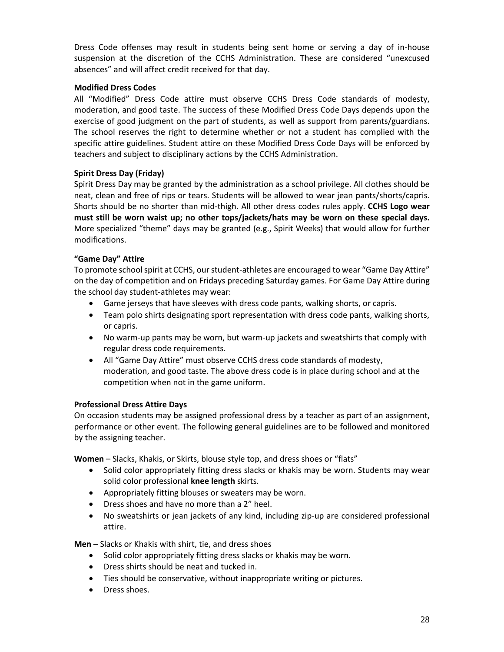Dress Code offenses may result in students being sent home or serving a day of in-house suspension at the discretion of the CCHS Administration. These are considered "unexcused absences" and will affect credit received for that day.

#### **Modified Dress Codes**

All "Modified" Dress Code attire must observe CCHS Dress Code standards of modesty, moderation, and good taste. The success of these Modified Dress Code Days depends upon the exercise of good judgment on the part of students, as well as support from parents/guardians. The school reserves the right to determine whether or not a student has complied with the specific attire guidelines. Student attire on these Modified Dress Code Days will be enforced by teachers and subject to disciplinary actions by the CCHS Administration.

#### **Spirit Dress Day (Friday)**

Spirit Dress Day may be granted by the administration as a school privilege. All clothes should be neat, clean and free of rips or tears. Students will be allowed to wear jean pants/shorts/capris. Shorts should be no shorter than mid-thigh. All other dress codes rules apply. **CCHS Logo wear must still be worn waist up; no other tops/jackets/hats may be worn on these special days.** More specialized "theme" days may be granted (e.g., Spirit Weeks) that would allow for further modifications.

#### **"Game Day" Attire**

To promote school spirit at CCHS, our student-athletes are encouraged to wear "Game Day Attire" on the day of competition and on Fridays preceding Saturday games. For Game Day Attire during the school day student-athletes may wear:

- Game jerseys that have sleeves with dress code pants, walking shorts, or capris.
- Team polo shirts designating sport representation with dress code pants, walking shorts, or capris.
- No warm-up pants may be worn, but warm-up jackets and sweatshirts that comply with regular dress code requirements.
- All "Game Day Attire" must observe CCHS dress code standards of modesty, moderation, and good taste. The above dress code is in place during school and at the competition when not in the game uniform.

#### **Professional Dress Attire Days**

On occasion students may be assigned professional dress by a teacher as part of an assignment, performance or other event. The following general guidelines are to be followed and monitored by the assigning teacher.

**Women** – Slacks, Khakis, or Skirts, blouse style top, and dress shoes or "flats"

- Solid color appropriately fitting dress slacks or khakis may be worn. Students may wear solid color professional **knee length** skirts.
- Appropriately fitting blouses or sweaters may be worn.
- Dress shoes and have no more than a 2" heel.
- No sweatshirts or jean jackets of any kind, including zip-up are considered professional attire.

**Men –** Slacks or Khakis with shirt, tie, and dress shoes

- Solid color appropriately fitting dress slacks or khakis may be worn.
- Dress shirts should be neat and tucked in.
- Ties should be conservative, without inappropriate writing or pictures.
- Dress shoes.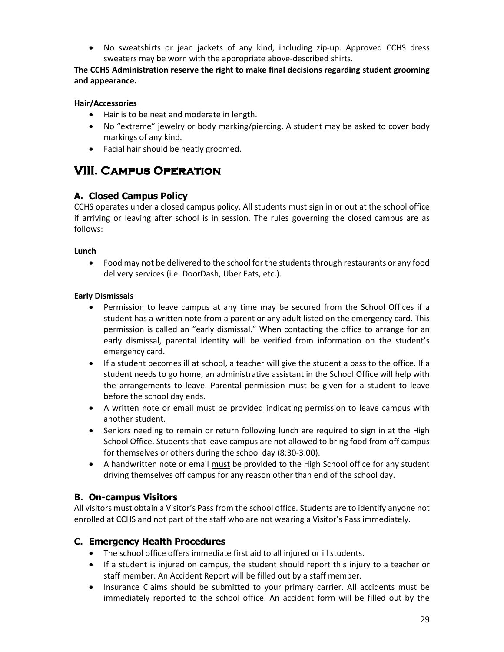• No sweatshirts or jean jackets of any kind, including zip-up. Approved CCHS dress sweaters may be worn with the appropriate above-described shirts.

### **The CCHS Administration reserve the right to make final decisions regarding student grooming and appearance.**

## **Hair/Accessories**

- Hair is to be neat and moderate in length.
- No "extreme" jewelry or body marking/piercing. A student may be asked to cover body markings of any kind.
- Facial hair should be neatly groomed.

# **VIII. Campus Operation**

## **A. Closed Campus Policy**

CCHS operates under a closed campus policy. All students must sign in or out at the school office if arriving or leaving after school is in session. The rules governing the closed campus are as follows:

#### **Lunch**

• Food may not be delivered to the school for the students through restaurants or any food delivery services (i.e. DoorDash, Uber Eats, etc.).

### **Early Dismissals**

- Permission to leave campus at any time may be secured from the School Offices if a student has a written note from a parent or any adult listed on the emergency card. This permission is called an "early dismissal." When contacting the office to arrange for an early dismissal, parental identity will be verified from information on the student's emergency card.
- If a student becomes ill at school, a teacher will give the student a pass to the office. If a student needs to go home, an administrative assistant in the School Office will help with the arrangements to leave. Parental permission must be given for a student to leave before the school day ends.
- A written note or email must be provided indicating permission to leave campus with another student.
- Seniors needing to remain or return following lunch are required to sign in at the High School Office. Students that leave campus are not allowed to bring food from off campus for themselves or others during the school day (8:30-3:00).
- A handwritten note or email must be provided to the High School office for any student driving themselves off campus for any reason other than end of the school day.

## **B. On-campus Visitors**

All visitors must obtain a Visitor's Pass from the school office. Students are to identify anyone not enrolled at CCHS and not part of the staff who are not wearing a Visitor's Pass immediately.

## **C. Emergency Health Procedures**

- The school office offers immediate first aid to all injured or ill students.
- If a student is injured on campus, the student should report this injury to a teacher or staff member. An Accident Report will be filled out by a staff member.
- Insurance Claims should be submitted to your primary carrier. All accidents must be immediately reported to the school office. An accident form will be filled out by the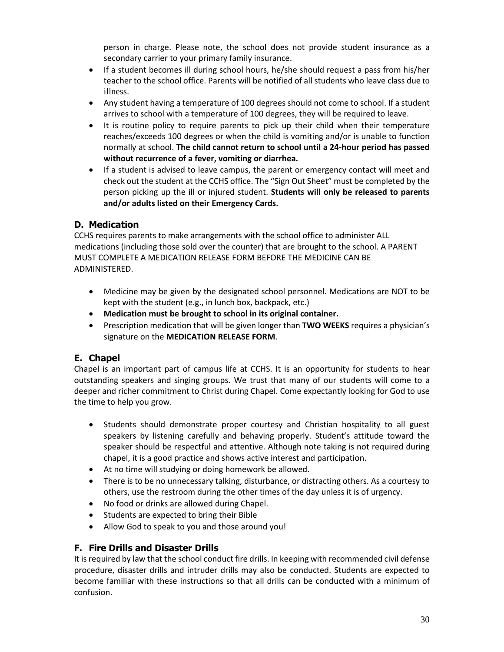person in charge. Please note, the school does not provide student insurance as a secondary carrier to your primary family insurance.

- If a student becomes ill during school hours, he/she should request a pass from his/her teacher to the school office. Parents will be notified of all students who leave class due to illness.
- Any student having a temperature of 100 degrees should not come to school. If a student arrives to school with a temperature of 100 degrees, they will be required to leave.
- It is routine policy to require parents to pick up their child when their temperature reaches/exceeds 100 degrees or when the child is vomiting and/or is unable to function normally at school. **The child cannot return to school until a 24-hour period has passed without recurrence of a fever, vomiting or diarrhea.**
- If a student is advised to leave campus, the parent or emergency contact will meet and check out the student at the CCHS office. The "Sign Out Sheet" must be completed by the person picking up the ill or injured student. **Students will only be released to parents and/or adults listed on their Emergency Cards.**

## **D. Medication**

CCHS requires parents to make arrangements with the school office to administer ALL medications (including those sold over the counter) that are brought to the school. A PARENT MUST COMPLETE A MEDICATION RELEASE FORM BEFORE THE MEDICINE CAN BE ADMINISTERED.

- Medicine may be given by the designated school personnel. Medications are NOT to be kept with the student (e.g., in lunch box, backpack, etc.)
- **Medication must be brought to school in its original container.**
- Prescription medication that will be given longer than **TWO WEEKS** requires a physician's signature on the **MEDICATION RELEASE FORM**.

# **E. Chapel**

Chapel is an important part of campus life at CCHS. It is an opportunity for students to hear outstanding speakers and singing groups. We trust that many of our students will come to a deeper and richer commitment to Christ during Chapel. Come expectantly looking for God to use the time to help you grow.

- Students should demonstrate proper courtesy and Christian hospitality to all guest speakers by listening carefully and behaving properly. Student's attitude toward the speaker should be respectful and attentive. Although note taking is not required during chapel, it is a good practice and shows active interest and participation.
- At no time will studying or doing homework be allowed.
- There is to be no unnecessary talking, disturbance, or distracting others. As a courtesy to others, use the restroom during the other times of the day unless it is of urgency.
- No food or drinks are allowed during Chapel.
- Students are expected to bring their Bible
- Allow God to speak to you and those around you!

## **F. Fire Drills and Disaster Drills**

It is required by law that the school conduct fire drills. In keeping with recommended civil defense procedure, disaster drills and intruder drills may also be conducted. Students are expected to become familiar with these instructions so that all drills can be conducted with a minimum of confusion.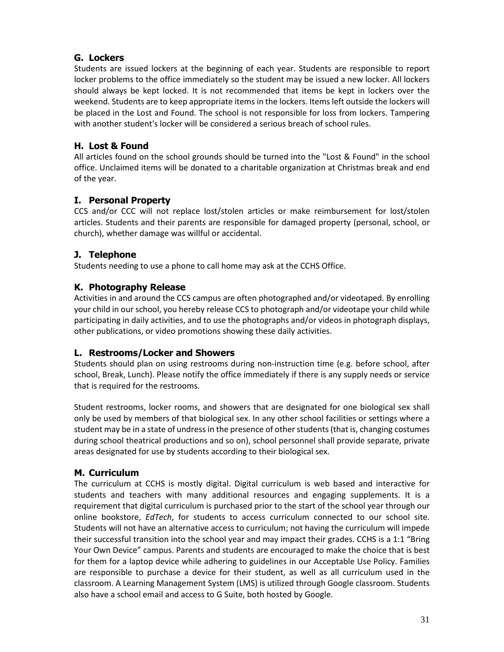## **G. Lockers**

Students are issued lockers at the beginning of each year. Students are responsible to report locker problems to the office immediately so the student may be issued a new locker. All lockers should always be kept locked. It is not recommended that items be kept in lockers over the weekend. Students are to keep appropriate items in the lockers. Items left outside the lockers will be placed in the Lost and Found. The school is not responsible for loss from lockers. Tampering with another student's locker will be considered a serious breach of school rules.

## **H. Lost & Found**

All articles found on the school grounds should be turned into the "Lost & Found" in the school office. Unclaimed items will be donated to a charitable organization at Christmas break and end of the year.

## **I. Personal Property**

CCS and/or CCC will not replace lost/stolen articles or make reimbursement for lost/stolen articles. Students and their parents are responsible for damaged property (personal, school, or church), whether damage was willful or accidental.

## **J. Telephone**

Students needing to use a phone to call home may ask at the CCHS Office.

## **K. Photography Release**

Activities in and around the CCS campus are often photographed and/or videotaped. By enrolling your child in our school, you hereby release CCS to photograph and/or videotape your child while participating in daily activities, and to use the photographs and/or videos in photograph displays, other publications, or video promotions showing these daily activities.

## **L. Restrooms/Locker and Showers**

Students should plan on using restrooms during non-instruction time (e.g. before school, after school, Break, Lunch). Please notify the office immediately if there is any supply needs or service that is required for the restrooms.

Student restrooms, locker rooms, and showers that are designated for one biological sex shall only be used by members of that biological sex. In any other school facilities or settings where a student may be in a state of undress in the presence of other students (that is, changing costumes during school theatrical productions and so on), school personnel shall provide separate, private areas designated for use by students according to their biological sex.

## **M. Curriculum**

The curriculum at CCHS is mostly digital. Digital curriculum is web based and interactive for students and teachers with many additional resources and engaging supplements. It is a requirement that digital curriculum is purchased prior to the start of the school year through our online bookstore, *EdTech*, for students to access curriculum connected to our school site. Students will not have an alternative access to curriculum; not having the curriculum will impede their successful transition into the school year and may impact their grades. CCHS is a 1:1 "Bring Your Own Device" campus. Parents and students are encouraged to make the choice that is best for them for a laptop device while adhering to guidelines in our Acceptable Use Policy. Families are responsible to purchase a device for their student, as well as all curriculum used in the classroom. A Learning Management System (LMS) is utilized through Google classroom. Students also have a school email and access to G Suite, both hosted by Google.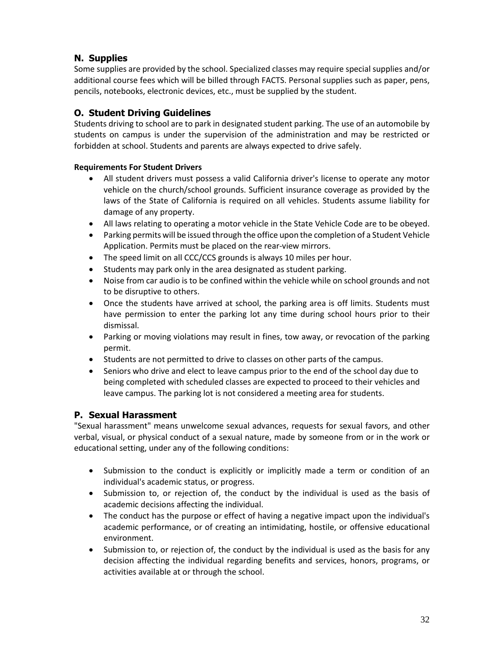# **N. Supplies**

Some supplies are provided by the school. Specialized classes may require special supplies and/or additional course fees which will be billed through FACTS. Personal supplies such as paper, pens, pencils, notebooks, electronic devices, etc., must be supplied by the student.

## **O. Student Driving Guidelines**

Students driving to school are to park in designated student parking. The use of an automobile by students on campus is under the supervision of the administration and may be restricted or forbidden at school. Students and parents are always expected to drive safely.

### **Requirements For Student Drivers**

- All student drivers must possess a valid California driver's license to operate any motor vehicle on the church/school grounds. Sufficient insurance coverage as provided by the laws of the State of California is required on all vehicles. Students assume liability for damage of any property.
- All laws relating to operating a motor vehicle in the State Vehicle Code are to be obeyed.
- Parking permits will be issued through the office upon the completion of a Student Vehicle Application. Permits must be placed on the rear-view mirrors.
- The speed limit on all CCC/CCS grounds is always 10 miles per hour.
- Students may park only in the area designated as student parking.
- Noise from car audio is to be confined within the vehicle while on school grounds and not to be disruptive to others.
- Once the students have arrived at school, the parking area is off limits. Students must have permission to enter the parking lot any time during school hours prior to their dismissal.
- Parking or moving violations may result in fines, tow away, or revocation of the parking permit.
- Students are not permitted to drive to classes on other parts of the campus.
- Seniors who drive and elect to leave campus prior to the end of the school day due to being completed with scheduled classes are expected to proceed to their vehicles and leave campus. The parking lot is not considered a meeting area for students.

## **P. Sexual Harassment**

"Sexual harassment" means unwelcome sexual advances, requests for sexual favors, and other verbal, visual, or physical conduct of a sexual nature, made by someone from or in the work or educational setting, under any of the following conditions:

- Submission to the conduct is explicitly or implicitly made a term or condition of an individual's academic status, or progress.
- Submission to, or rejection of, the conduct by the individual is used as the basis of academic decisions affecting the individual.
- The conduct has the purpose or effect of having a negative impact upon the individual's academic performance, or of creating an intimidating, hostile, or offensive educational environment.
- Submission to, or rejection of, the conduct by the individual is used as the basis for any decision affecting the individual regarding benefits and services, honors, programs, or activities available at or through the school.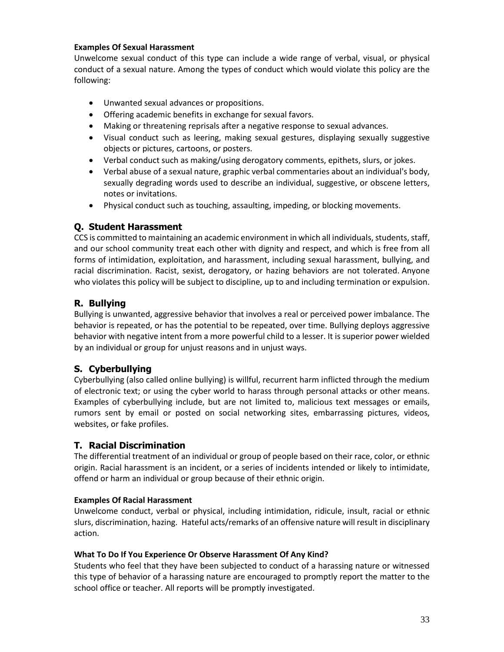#### **Examples Of Sexual Harassment**

Unwelcome sexual conduct of this type can include a wide range of verbal, visual, or physical conduct of a sexual nature. Among the types of conduct which would violate this policy are the following:

- Unwanted sexual advances or propositions.
- Offering academic benefits in exchange for sexual favors.
- Making or threatening reprisals after a negative response to sexual advances.
- Visual conduct such as leering, making sexual gestures, displaying sexually suggestive objects or pictures, cartoons, or posters.
- Verbal conduct such as making/using derogatory comments, epithets, slurs, or jokes.
- Verbal abuse of a sexual nature, graphic verbal commentaries about an individual's body, sexually degrading words used to describe an individual, suggestive, or obscene letters, notes or invitations.
- Physical conduct such as touching, assaulting, impeding, or blocking movements.

## **Q. Student Harassment**

CCS is committed to maintaining an academic environment in which all individuals, students, staff, and our school community treat each other with dignity and respect, and which is free from all forms of intimidation, exploitation, and harassment, including sexual harassment, bullying, and racial discrimination. Racist, sexist, derogatory, or hazing behaviors are not tolerated. Anyone who violates this policy will be subject to discipline, up to and including termination or expulsion.

## **R. Bullying**

Bullying is unwanted, aggressive behavior that involves a real or perceived power imbalance. The behavior is repeated, or has the potential to be repeated, over time. Bullying deploys aggressive behavior with negative intent from a more powerful child to a lesser. It is superior power wielded by an individual or group for unjust reasons and in unjust ways.

## **S. Cyberbullying**

Cyberbullying (also called online bullying) is willful, recurrent harm inflicted through the medium of electronic text; or using the cyber world to harass through personal attacks or other means. Examples of cyberbullying include, but are not limited to, malicious text messages or emails, rumors sent by email or posted on social networking sites, embarrassing pictures, videos, websites, or fake profiles.

## **T. Racial Discrimination**

The differential treatment of an individual or group of people based on their race, color, or ethnic origin. Racial harassment is an incident, or a series of incidents intended or likely to intimidate, offend or harm an individual or group because of their ethnic origin.

### **Examples Of Racial Harassment**

Unwelcome conduct, verbal or physical, including intimidation, ridicule, insult, racial or ethnic slurs, discrimination, hazing. Hateful acts/remarks of an offensive nature will result in disciplinary action.

### **What To Do If You Experience Or Observe Harassment Of Any Kind?**

Students who feel that they have been subjected to conduct of a harassing nature or witnessed this type of behavior of a harassing nature are encouraged to promptly report the matter to the school office or teacher. All reports will be promptly investigated.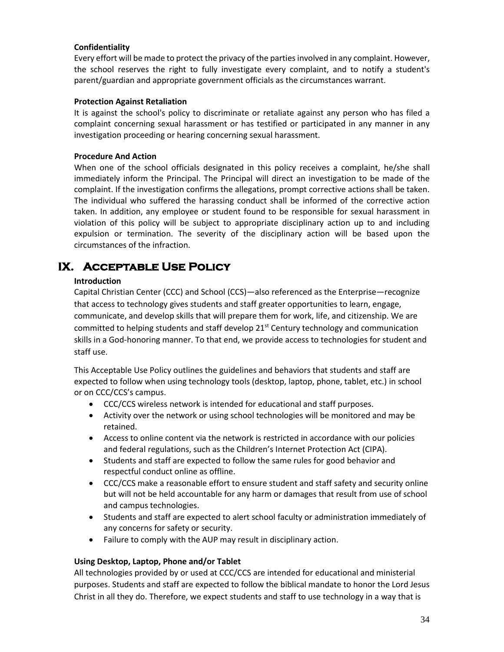#### **Confidentiality**

Every effort will be made to protect the privacy of the parties involved in any complaint. However, the school reserves the right to fully investigate every complaint, and to notify a student's parent/guardian and appropriate government officials as the circumstances warrant.

#### **Protection Against Retaliation**

It is against the school's policy to discriminate or retaliate against any person who has filed a complaint concerning sexual harassment or has testified or participated in any manner in any investigation proceeding or hearing concerning sexual harassment.

#### **Procedure And Action**

When one of the school officials designated in this policy receives a complaint, he/she shall immediately inform the Principal. The Principal will direct an investigation to be made of the complaint. If the investigation confirms the allegations, prompt corrective actions shall be taken. The individual who suffered the harassing conduct shall be informed of the corrective action taken. In addition, any employee or student found to be responsible for sexual harassment in violation of this policy will be subject to appropriate disciplinary action up to and including expulsion or termination. The severity of the disciplinary action will be based upon the circumstances of the infraction.

# **IX. Acceptable Use Policy**

#### **Introduction**

Capital Christian Center (CCC) and School (CCS)—also referenced as the Enterprise—recognize that access to technology gives students and staff greater opportunities to learn, engage, communicate, and develop skills that will prepare them for work, life, and citizenship. We are committed to helping students and staff develop  $21^{st}$  Century technology and communication skills in a God-honoring manner. To that end, we provide access to technologies for student and staff use.

This Acceptable Use Policy outlines the guidelines and behaviors that students and staff are expected to follow when using technology tools (desktop, laptop, phone, tablet, etc.) in school or on CCC/CCS's campus.

- CCC/CCS wireless network is intended for educational and staff purposes.
- Activity over the network or using school technologies will be monitored and may be retained.
- Access to online content via the network is restricted in accordance with our policies and federal regulations, such as the Children's Internet Protection Act (CIPA).
- Students and staff are expected to follow the same rules for good behavior and respectful conduct online as offline.
- CCC/CCS make a reasonable effort to ensure student and staff safety and security online but will not be held accountable for any harm or damages that result from use of school and campus technologies.
- Students and staff are expected to alert school faculty or administration immediately of any concerns for safety or security.
- Failure to comply with the AUP may result in disciplinary action.

### **Using Desktop, Laptop, Phone and/or Tablet**

All technologies provided by or used at CCC/CCS are intended for educational and ministerial purposes. Students and staff are expected to follow the biblical mandate to honor the Lord Jesus Christ in all they do. Therefore, we expect students and staff to use technology in a way that is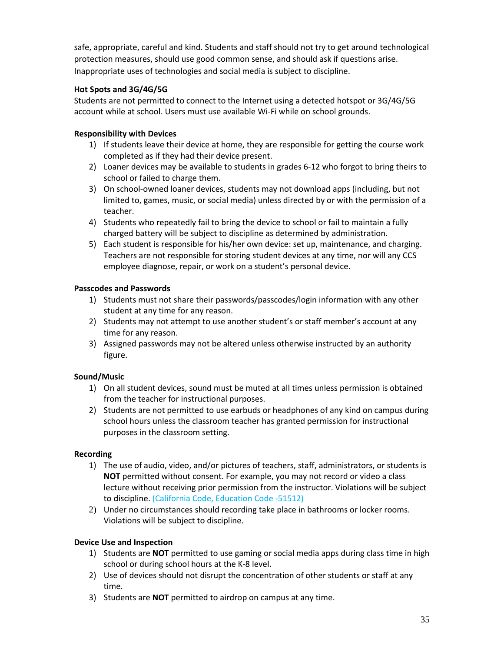safe, appropriate, careful and kind. Students and staff should not try to get around technological protection measures, should use good common sense, and should ask if questions arise. Inappropriate uses of technologies and social media is subject to discipline.

## **Hot Spots and 3G/4G/5G**

Students are not permitted to connect to the Internet using a detected hotspot or 3G/4G/5G account while at school. Users must use available Wi-Fi while on school grounds.

## **Responsibility with Devices**

- 1) If students leave their device at home, they are responsible for getting the course work completed as if they had their device present.
- 2) Loaner devices may be available to students in grades 6-12 who forgot to bring theirs to school or failed to charge them.
- 3) On school-owned loaner devices, students may not download apps (including, but not limited to, games, music, or social media) unless directed by or with the permission of a teacher.
- 4) Students who repeatedly fail to bring the device to school or fail to maintain a fully charged battery will be subject to discipline as determined by administration.
- 5) Each student is responsible for his/her own device: set up, maintenance, and charging. Teachers are not responsible for storing student devices at any time, nor will any CCS employee diagnose, repair, or work on a student's personal device.

### **Passcodes and Passwords**

- 1) Students must not share their passwords/passcodes/login information with any other student at any time for any reason.
- 2) Students may not attempt to use another student's or staff member's account at any time for any reason.
- 3) Assigned passwords may not be altered unless otherwise instructed by an authority figure.

### **Sound/Music**

- 1) On all student devices, sound must be muted at all times unless permission is obtained from the teacher for instructional purposes.
- 2) Students are not permitted to use earbuds or headphones of any kind on campus during school hours unless the classroom teacher has granted permission for instructional purposes in the classroom setting.

### **Recording**

- 1) The use of audio, video, and/or pictures of teachers, staff, administrators, or students is **NOT** permitted without consent. For example, you may not record or video a class lecture without receiving prior permission from the instructor. Violations will be subject to discipline. (California Code, Education Code -51512)
- 2) Under no circumstances should recording take place in bathrooms or locker rooms. Violations will be subject to discipline.

### **Device Use and Inspection**

- 1) Students are **NOT** permitted to use gaming or social media apps during class time in high school or during school hours at the K-8 level.
- 2) Use of devices should not disrupt the concentration of other students or staff at any time.
- 3) Students are **NOT** permitted to airdrop on campus at any time.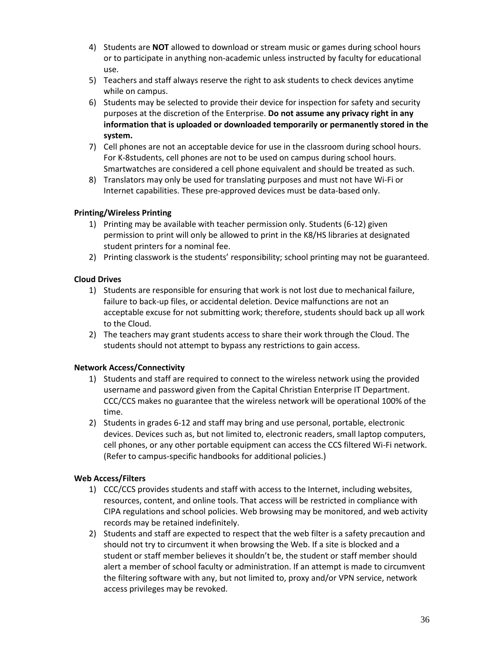- 4) Students are **NOT** allowed to download or stream music or games during school hours or to participate in anything non-academic unless instructed by faculty for educational use.
- 5) Teachers and staff always reserve the right to ask students to check devices anytime while on campus.
- 6) Students may be selected to provide their device for inspection for safety and security purposes at the discretion of the Enterprise. **Do not assume any privacy right in any information that is uploaded or downloaded temporarily or permanently stored in the system.**
- 7) Cell phones are not an acceptable device for use in the classroom during school hours. For K-8students, cell phones are not to be used on campus during school hours. Smartwatches are considered a cell phone equivalent and should be treated as such.
- 8) Translators may only be used for translating purposes and must not have Wi-Fi or Internet capabilities. These pre-approved devices must be data-based only.

### **Printing/Wireless Printing**

- 1) Printing may be available with teacher permission only. Students (6-12) given permission to print will only be allowed to print in the K8/HS libraries at designated student printers for a nominal fee.
- 2) Printing classwork is the students' responsibility; school printing may not be guaranteed.

## **Cloud Drives**

- 1) Students are responsible for ensuring that work is not lost due to mechanical failure, failure to back-up files, or accidental deletion. Device malfunctions are not an acceptable excuse for not submitting work; therefore, students should back up all work to the Cloud.
- 2) The teachers may grant students access to share their work through the Cloud. The students should not attempt to bypass any restrictions to gain access.

### **Network Access/Connectivity**

- 1) Students and staff are required to connect to the wireless network using the provided username and password given from the Capital Christian Enterprise IT Department. CCC/CCS makes no guarantee that the wireless network will be operational 100% of the time.
- 2) Students in grades 6-12 and staff may bring and use personal, portable, electronic devices. Devices such as, but not limited to, electronic readers, small laptop computers, cell phones, or any other portable equipment can access the CCS filtered Wi-Fi network. (Refer to campus-specific handbooks for additional policies.)

### **Web Access/Filters**

- 1) CCC/CCS provides students and staff with access to the Internet, including websites, resources, content, and online tools. That access will be restricted in compliance with CIPA regulations and school policies. Web browsing may be monitored, and web activity records may be retained indefinitely.
- 2) Students and staff are expected to respect that the web filter is a safety precaution and should not try to circumvent it when browsing the Web. If a site is blocked and a student or staff member believes it shouldn't be, the student or staff member should alert a member of school faculty or administration. If an attempt is made to circumvent the filtering software with any, but not limited to, proxy and/or VPN service, network access privileges may be revoked.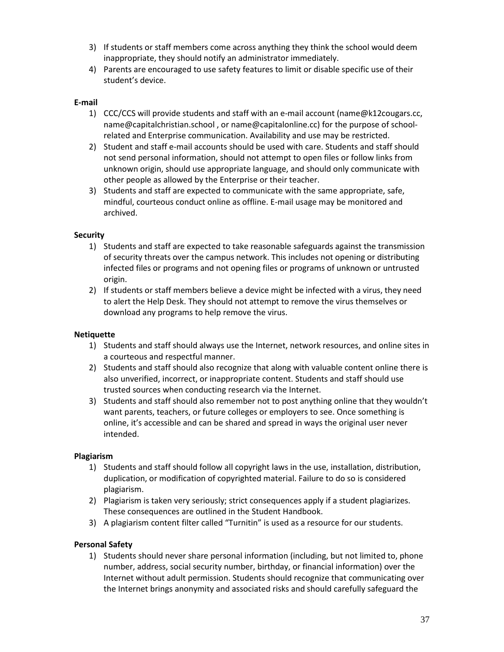- 3) If students or staff members come across anything they think the school would deem inappropriate, they should notify an administrator immediately.
- 4) Parents are encouraged to use safety features to limit or disable specific use of their student's device.

#### **E-mail**

- 1) CCC/CCS will provide students and staff with an e-mail account (name@k12cougars.cc, name@capitalchristian.school , or name@capitalonline.cc) for the purpose of schoolrelated and Enterprise communication. Availability and use may be restricted.
- 2) Student and staff e-mail accounts should be used with care. Students and staff should not send personal information, should not attempt to open files or follow links from unknown origin, should use appropriate language, and should only communicate with other people as allowed by the Enterprise or their teacher.
- 3) Students and staff are expected to communicate with the same appropriate, safe, mindful, courteous conduct online as offline. E-mail usage may be monitored and archived.

#### **Security**

- 1) Students and staff are expected to take reasonable safeguards against the transmission of security threats over the campus network. This includes not opening or distributing infected files or programs and not opening files or programs of unknown or untrusted origin.
- 2) If students or staff members believe a device might be infected with a virus, they need to alert the Help Desk. They should not attempt to remove the virus themselves or download any programs to help remove the virus.

#### **Netiquette**

- 1) Students and staff should always use the Internet, network resources, and online sites in a courteous and respectful manner.
- 2) Students and staff should also recognize that along with valuable content online there is also unverified, incorrect, or inappropriate content. Students and staff should use trusted sources when conducting research via the Internet.
- 3) Students and staff should also remember not to post anything online that they wouldn't want parents, teachers, or future colleges or employers to see. Once something is online, it's accessible and can be shared and spread in ways the original user never intended.

#### **Plagiarism**

- 1) Students and staff should follow all copyright laws in the use, installation, distribution, duplication, or modification of copyrighted material. Failure to do so is considered plagiarism.
- 2) Plagiarism is taken very seriously; strict consequences apply if a student plagiarizes. These consequences are outlined in the Student Handbook.
- 3) A plagiarism content filter called "Turnitin" is used as a resource for our students.

#### **Personal Safety**

1) Students should never share personal information (including, but not limited to, phone number, address, social security number, birthday, or financial information) over the Internet without adult permission. Students should recognize that communicating over the Internet brings anonymity and associated risks and should carefully safeguard the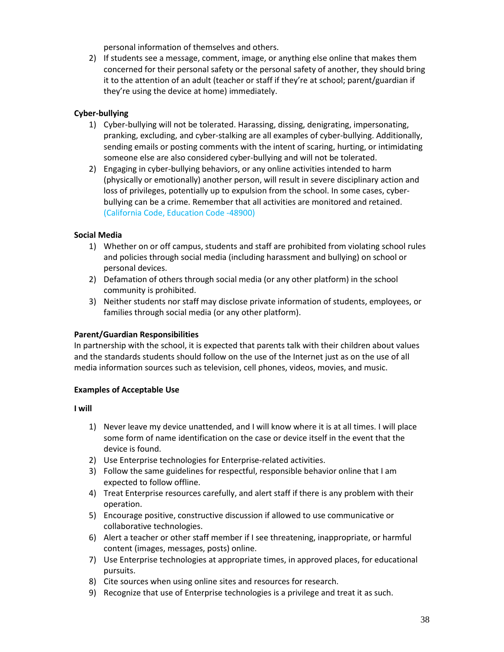personal information of themselves and others.

2) If students see a message, comment, image, or anything else online that makes them concerned for their personal safety or the personal safety of another, they should bring it to the attention of an adult (teacher or staff if they're at school; parent/guardian if they're using the device at home) immediately.

## **Cyber-bullying**

- 1) Cyber-bullying will not be tolerated. Harassing, dissing, denigrating, impersonating, pranking, excluding, and cyber-stalking are all examples of cyber-bullying. Additionally, sending emails or posting comments with the intent of scaring, hurting, or intimidating someone else are also considered cyber-bullying and will not be tolerated.
- 2) Engaging in cyber-bullying behaviors, or any online activities intended to harm (physically or emotionally) another person, will result in severe disciplinary action and loss of privileges, potentially up to expulsion from the school. In some cases, cyberbullying can be a crime. Remember that all activities are monitored and retained. (California Code, Education Code -48900)

### **Social Media**

- 1) Whether on or off campus, students and staff are prohibited from violating school rules and policies through social media (including harassment and bullying) on school or personal devices.
- 2) Defamation of others through social media (or any other platform) in the school community is prohibited.
- 3) Neither students nor staff may disclose private information of students, employees, or families through social media (or any other platform).

### **Parent/Guardian Responsibilities**

In partnership with the school, it is expected that parents talk with their children about values and the standards students should follow on the use of the Internet just as on the use of all media information sources such as television, cell phones, videos, movies, and music.

#### **Examples of Acceptable Use**

#### **I will**

- 1) Never leave my device unattended, and I will know where it is at all times. I will place some form of name identification on the case or device itself in the event that the device is found.
- 2) Use Enterprise technologies for Enterprise-related activities.
- 3) Follow the same guidelines for respectful, responsible behavior online that I am expected to follow offline.
- 4) Treat Enterprise resources carefully, and alert staff if there is any problem with their operation.
- 5) Encourage positive, constructive discussion if allowed to use communicative or collaborative technologies.
- 6) Alert a teacher or other staff member if I see threatening, inappropriate, or harmful content (images, messages, posts) online.
- 7) Use Enterprise technologies at appropriate times, in approved places, for educational pursuits.
- 8) Cite sources when using online sites and resources for research.
- 9) Recognize that use of Enterprise technologies is a privilege and treat it as such.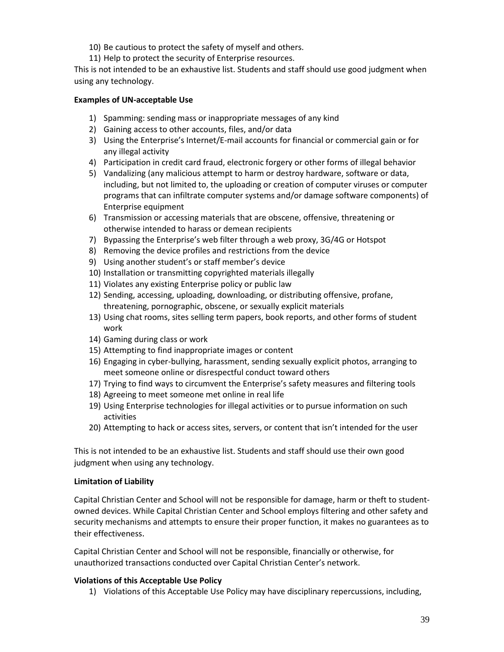- 10) Be cautious to protect the safety of myself and others.
- 11) Help to protect the security of Enterprise resources.

This is not intended to be an exhaustive list. Students and staff should use good judgment when using any technology.

#### **Examples of UN-acceptable Use**

- 1) Spamming: sending mass or inappropriate messages of any kind
- 2) Gaining access to other accounts, files, and/or data
- 3) Using the Enterprise's Internet/E-mail accounts for financial or commercial gain or for any illegal activity
- 4) Participation in credit card fraud, electronic forgery or other forms of illegal behavior
- 5) Vandalizing (any malicious attempt to harm or destroy hardware, software or data, including, but not limited to, the uploading or creation of computer viruses or computer programs that can infiltrate computer systems and/or damage software components) of Enterprise equipment
- 6) Transmission or accessing materials that are obscene, offensive, threatening or otherwise intended to harass or demean recipients
- 7) Bypassing the Enterprise's web filter through a web proxy, 3G/4G or Hotspot
- 8) Removing the device profiles and restrictions from the device
- 9) Using another student's or staff member's device
- 10) Installation or transmitting copyrighted materials illegally
- 11) Violates any existing Enterprise policy or public law
- 12) Sending, accessing, uploading, downloading, or distributing offensive, profane, threatening, pornographic, obscene, or sexually explicit materials
- 13) Using chat rooms, sites selling term papers, book reports, and other forms of student work
- 14) Gaming during class or work
- 15) Attempting to find inappropriate images or content
- 16) Engaging in cyber-bullying, harassment, sending sexually explicit photos, arranging to meet someone online or disrespectful conduct toward others
- 17) Trying to find ways to circumvent the Enterprise's safety measures and filtering tools
- 18) Agreeing to meet someone met online in real life
- 19) Using Enterprise technologies for illegal activities or to pursue information on such activities
- 20) Attempting to hack or access sites, servers, or content that isn't intended for the user

This is not intended to be an exhaustive list. Students and staff should use their own good judgment when using any technology.

#### **Limitation of Liability**

Capital Christian Center and School will not be responsible for damage, harm or theft to studentowned devices. While Capital Christian Center and School employs filtering and other safety and security mechanisms and attempts to ensure their proper function, it makes no guarantees as to their effectiveness.

Capital Christian Center and School will not be responsible, financially or otherwise, for unauthorized transactions conducted over Capital Christian Center's network.

### **Violations of this Acceptable Use Policy**

1) Violations of this Acceptable Use Policy may have disciplinary repercussions, including,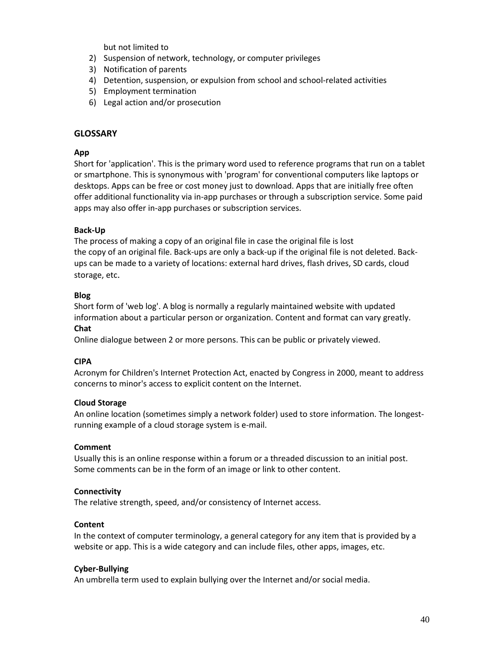but not limited to

- 2) Suspension of network, technology, or computer privileges
- 3) Notification of parents
- 4) Detention, suspension, or expulsion from school and school-related activities
- 5) Employment termination
- 6) Legal action and/or prosecution

#### **GLOSSARY**

#### **App**

Short for 'application'. This is the primary word used to reference programs that run on a tablet or smartphone. This is synonymous with 'program' for conventional computers like laptops or desktops. Apps can be free or cost money just to download. Apps that are initially free often offer additional functionality via in-app purchases or through a subscription service. Some paid apps may also offer in-app purchases or subscription services.

#### **Back-Up**

The process of making a copy of an original file in case the original file is lost the copy of an original file. Back-ups are only a back-up if the original file is not deleted. Backups can be made to a variety of locations: external hard drives, flash drives, SD cards, cloud storage, etc.

#### **Blog**

Short form of 'web log'. A blog is normally a regularly maintained website with updated information about a particular person or organization. Content and format can vary greatly. **Chat**

Online dialogue between 2 or more persons. This can be public or privately viewed.

#### **CIPA**

Acronym for Children's Internet Protection Act, enacted by Congress in 2000, meant to address concerns to minor's access to explicit content on the Internet.

#### **Cloud Storage**

An online location (sometimes simply a network folder) used to store information. The longestrunning example of a cloud storage system is e-mail.

#### **Comment**

Usually this is an online response within a forum or a threaded discussion to an initial post. Some comments can be in the form of an image or link to other content.

#### **Connectivity**

The relative strength, speed, and/or consistency of Internet access.

#### **Content**

In the context of computer terminology, a general category for any item that is provided by a website or app. This is a wide category and can include files, other apps, images, etc.

#### **Cyber-Bullying**

An umbrella term used to explain bullying over the Internet and/or social media.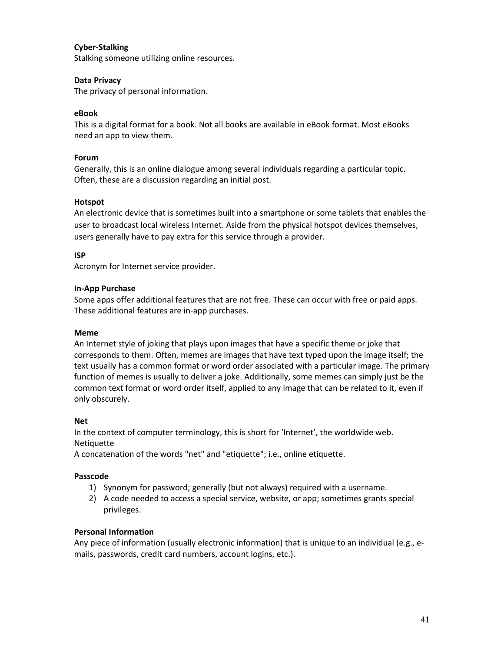#### **Cyber-Stalking**

Stalking someone utilizing online resources.

#### **Data Privacy**

The privacy of personal information.

#### **eBook**

This is a digital format for a book. Not all books are available in eBook format. Most eBooks need an app to view them.

#### **Forum**

Generally, this is an online dialogue among several individuals regarding a particular topic. Often, these are a discussion regarding an initial post.

#### **Hotspot**

An electronic device that is sometimes built into a smartphone or some tablets that enables the user to broadcast local wireless Internet. Aside from the physical hotspot devices themselves, users generally have to pay extra for this service through a provider.

#### **ISP**

Acronym for Internet service provider.

#### **In-App Purchase**

Some apps offer additional features that are not free. These can occur with free or paid apps. These additional features are in-app purchases.

#### **Meme**

An Internet style of joking that plays upon images that have a specific theme or joke that corresponds to them. Often, memes are images that have text typed upon the image itself; the text usually has a common format or word order associated with a particular image. The primary function of memes is usually to deliver a joke. Additionally, some memes can simply just be the common text format or word order itself, applied to any image that can be related to it, even if only obscurely.

#### **Net**

In the context of computer terminology, this is short for 'Internet', the worldwide web. Netiquette

A concatenation of the words "net" and "etiquette"; i.e., online etiquette.

#### **Passcode**

- 1) Synonym for password; generally (but not always) required with a username.
- 2) A code needed to access a special service, website, or app; sometimes grants special privileges.

#### **Personal Information**

Any piece of information (usually electronic information) that is unique to an individual (e.g., emails, passwords, credit card numbers, account logins, etc.).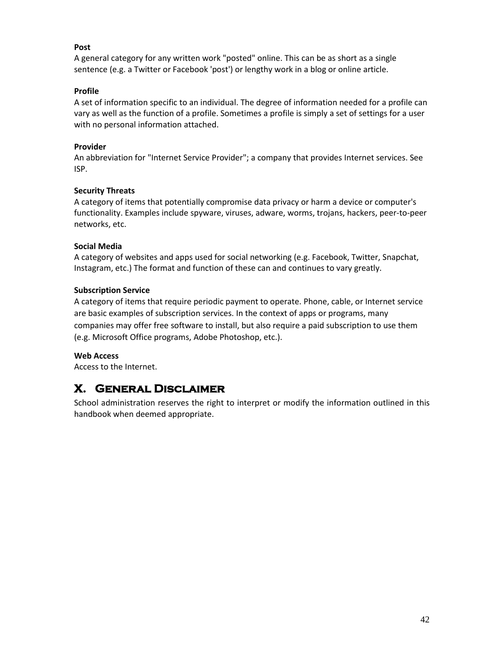#### **Post**

A general category for any written work "posted" online. This can be as short as a single sentence (e.g. a Twitter or Facebook 'post') or lengthy work in a blog or online article.

#### **Profile**

A set of information specific to an individual. The degree of information needed for a profile can vary as well as the function of a profile. Sometimes a profile is simply a set of settings for a user with no personal information attached.

#### **Provider**

An abbreviation for "Internet Service Provider"; a company that provides Internet services. See ISP.

#### **Security Threats**

A category of items that potentially compromise data privacy or harm a device or computer's functionality. Examples include spyware, viruses, adware, worms, trojans, hackers, peer-to-peer networks, etc.

#### **Social Media**

A category of websites and apps used for social networking (e.g. Facebook, Twitter, Snapchat, Instagram, etc.) The format and function of these can and continues to vary greatly.

#### **Subscription Service**

A category of items that require periodic payment to operate. Phone, cable, or Internet service are basic examples of subscription services. In the context of apps or programs, many companies may offer free software to install, but also require a paid subscription to use them (e.g. Microsoft Office programs, Adobe Photoshop, etc.).

#### **Web Access**

Access to the Internet.

# **X. General Disclaimer**

School administration reserves the right to interpret or modify the information outlined in this handbook when deemed appropriate.